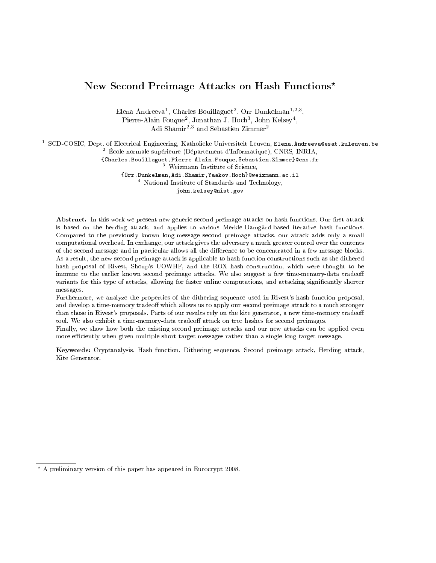# New Second Preimage Attacks on Hash Functions\*

Elena Andreeva<sup>1</sup>, Charles Bouillaguet<sup>2</sup>, Orr Dunkelman<sup>1,2,3</sup>, Pierre-Alain Fouque<sup>2</sup>, Jonathan J. Hoch<sup>3</sup>, John Kelsey<sup>4</sup>, Adi Shamir<sup>2,3</sup> and Sebastien Zimmer<sup>2</sup>

<sup>1</sup> SCD-COSIC, Dept. of Electrical Engineering, Katholieke Universiteit Leuven, Elena. Andreeva@esat.kuleuven.be  $^{2}$  École normale supérieure (Département d'Informatique), CNRS, INRIA,

{Charles.Bouillaguet,Pierre-Alain.Fouque,Sebastien.Zimmer}@ens.fr

<sup>3</sup> Weizmann Institute of Science,

{Orr.Dunkelman,Adi.Shamir,Yaakov.Hoch}@weizmann.ac.il

<sup>4</sup> National Institute of Standards and Technology,

john.kelsey@nist.gov

Abstract. In this work we present new generic second preimage attacks on hash functions. Our first attack is based on the herding attack, and applies to various Merkle-Damgård-based iterative hash functions. Compared to the previously known long-message second preimage attacks, our attack adds only a small computational overhead. In exchange, our attack gives the adversary a much greater control over the contents of the second message and in particular allows all the dierence to be concentrated in a few message blocks. As a result, the new second preimage attack is applicable to hash function constructions such as the dithered hash proposal of Rivest, Shoup's UOWHF, and the ROX hash construction, which were thought to be immune to the earlier known second preimage attacks. We also suggest a few time-memory-data tradeoff variants for this type of attacks, allowing for faster online computations, and attacking significantly shorter messages.

Furthermore, we analyze the properties of the dithering sequence used in Rivest's hash function proposal, and develop a time-memory tradeoff which allows us to apply our second preimage attack to a much stronger than those in Rivest's proposals. Parts of our results rely on the kite generator, a new time-memory tradeo tool. We also exhibit a time-memory-data tradeoff attack on tree hashes for second preimages.

Finally, we show how both the existing second preimage attacks and our new attacks can be applied even more efficiently when given multiple short target messages rather than a single long target message.

Keywords: Cryptanalysis, Hash function, Dithering sequence, Second preimage attack, Herding attack, Kite Generator.

<sup>?</sup> A preliminary version of this paper has appeared in Eurocrypt 2008.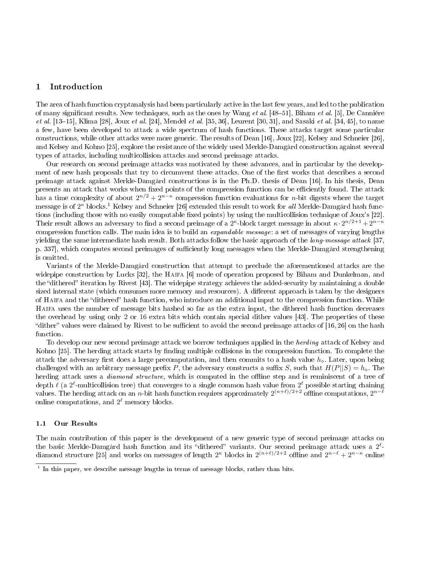# 1 Introduction

The area of hash function cryptanalysis had been particularly active in the last few years, and led to the publication of many significant results. New techniques, such as the ones by Wang et al. [48-51], Biham et al. [5], De Canniére et al. [13-15], Klima [28], Joux et al. [24], Mendel et al. [35, 36], Leurent [30, 31], and Sasaki et al. [34, 45], to name a few, have been developed to attack a wide spectrum of hash functions. These attacks target some particular constructions, while other attacks were more generic. The results of Dean [16], Joux [22], Kelsey and Schneier [26], and Kelsey and Kohno [25], explore the resistance of the widely used Merkle-Damgård construction against several types of attacks, including multicollision attacks and second preimage attacks.

Our research on second preimage attacks was motivated by these advances, and in particular by the development of new hash proposals that try to circumvent these attacks. One of the first works that describes a second preimage attack against Merkle-Damgård constructions is in the Ph.D. thesis of Dean [16]. In his thesis, Dean presents an attack that works when fixed points of the compression function can be efficiently found. The attack has a time complexity of about  $2^{n/2} + 2^{n-\kappa}$  compression function evaluations for *n*-bit digests where the target message is of 2<sup>k</sup> blocks.<sup>1</sup> Kelsey and Schneier [26] extended this result to work for all Merkle-Damgård hash functions (including those with no easily computable fixed points) by using the multicollision technique of Joux's [22]. Their result allows an adversary to find a second preimage of a 2<sup> $\kappa$ </sup>-block target message in about  $\kappa \cdot 2^{n/2+1}+2^{n-\kappa}$ compression function calls. The main idea is to build an expandable message: a set of messages of varying lengths yielding the same intermediate hash result. Both attacks follow the basic approach of the long-message attack [37, p. 337, which computes second preimages of sufficiently long messages when the Merkle-Damgård strengthening is omitted.

Variants of the Merkle-Damgård construction that attempt to preclude the aforementioned attacks are the widepipe construction by Lucks [32], the HAIFA [6] mode of operation proposed by Biham and Dunkelman, and the "dithered" iteration by Rivest [43]. The widepipe strategy achieves the added-security by maintaining a double sized internal state (which consumes more memory and resources). A different approach is taken by the designers of HAIFA and the "dithered" hash function, who introduce an additional input to the compression function. While Haifa uses the number of message bits hashed so far as the extra input, the dithered hash function decreases the overhead by using only 2 or 16 extra bits which contain special dither values [43]. The properties of these "dither" values were claimed by Rivest to be sufficient to avoid the second preimage attacks of [16, 26] on the hash function.

To develop our new second preimage attack we borrow techniques applied in the *herding* attack of Kelsey and Kohno [25]. The herding attack starts by finding multiple collisions in the compression function. To complete the attack the adversary first does a large precomputation, and then commits to a hash value  $h_{\infty}$ . Later, upon being challenged with an arbitrary message prefix P, the adversary constructs a suffix S, such that  $H(P||S) = h_0$ . The herding attack uses a *diamond structure*, which is computed in the offline step and is reminiscent of a tree of depth  $\ell$  (a  $2^\ell$ -multicollision tree) that converges to a single common hash value from  $2^\ell$  possible starting chaining values. The herding attack on an *n*-bit hash function requires approximately  $2^{(n+\ell)/2+2}$  offline computations,  $2^{n-\ell}$ online computations, and  $2^{\ell}$  memory blocks.

#### 1.1 Our Results

The main contribution of this paper is the development of a new generic type of second preimage attacks on the basic Merkle-Damgård hash function and its "dithered" variants. Our second preimage attack uses a  $2^{\ell}$ diamond structure [25] and works on messages of length 2<sup> $k$ </sup> blocks in 2<sup> $(n+\ell)/2+2$ </sup> offline and  $2^{n-\ell}+2^{n-\kappa}$  online

<sup>&</sup>lt;sup>1</sup> In this paper, we describe message lengths in terms of message blocks, rather than bits.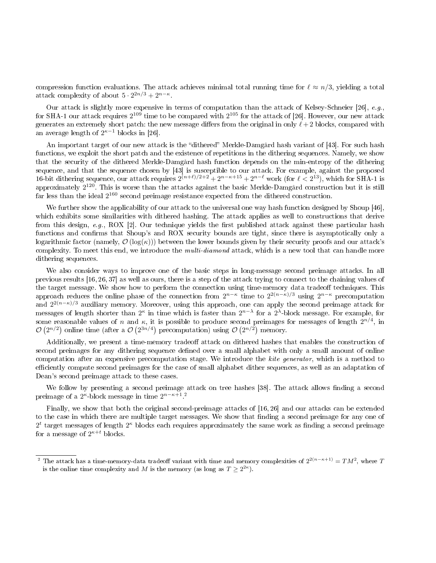compression function evaluations. The attack achieves minimal total running time for  $\ell \approx n/3$ , yielding a total attack complexity of about  $5 \cdot 2^{2n/3} + 2^{n-\kappa}$ .

Our attack is slightly more expensive in terms of computation than the attack of Kelsey-Schneier [26], e.g., for SHA-1 our attack requires  $2^{109}$  time to be compared with  $2^{105}$  for the attack of [26]. However, our new attack generates an extremely short patch: the new message differs from the original in only  $\ell + 2$  blocks, compared with an average length of  $2^{\kappa-1}$  blocks in [26].

An important target of our new attack is the "dithered" Merkle-Damgård hash variant of [43]. For such hash functions, we exploit the short patch and the existence of repetitions in the dithering sequences. Namely, we show that the security of the dithered Merkle-Damgård hash function depends on the min-entropy of the dithering sequence, and that the sequence chosen by [43] is susceptible to our attack. For example, against the proposed 16-bit dithering sequence, our attack requires  $2^{(n+\ell)/2+2} + 2^{n-\kappa+15} + 2^{n-\ell}$  work (for  $\ell < 2^{13}$ ), which for SHA-1 is approximately  $2^{120}$ . This is worse than the attacks against the basic Merkle-Damgård construction but it is still far less than the ideal  $2^{160}$  second preimage resistance expected from the dithered construction.

We further show the applicability of our attack to the universal one way hash function designed by Shoup [46], which exhibits some similarities with dithered hashing. The attack applies as well to constructions that derive from this design, e.g., ROX [2]. Our technique yields the first published attack against these particular hash functions and confirms that Shoup's and ROX security bounds are tight, since there is asymptotically only a logarithmic factor (namely,  $\mathcal{O}(\log(\kappa))$ ) between the lower bounds given by their security proofs and our attack's complexity. To meet this end, we introduce the *multi-diamond* attack, which is a new tool that can handle more dithering sequences.

We also consider ways to improve one of the basic steps in long-message second preimage attacks. In all previous results [16, 26, 37] as well as ours, there is a step of the attack trying to connect to the chaining values of the target message. We show how to perform the connection using time-memory data tradeoff techniques. This approach reduces the online phase of the connection from  $2^{n-\kappa}$  time to  $2^{2(n-\kappa)/3}$  using  $2^{n-\kappa}$  precomputation and  $2^{2(n-\kappa)/3}$  auxiliary memory. Moreover, using this approach, one can apply the second preimage attack for messages of length shorter than  $2^{\kappa}$  in time which is faster than  $2^{n-\lambda}$  for a  $2^{\lambda}$ -block message. For example, for some reasonable values of n and  $\kappa$ , it is possible to produce second preimages for messages of length  $2^{n/4}$ , in  $\mathcal{O}(2^{n/2})$  online time (after a  $\mathcal{O}(2^{3n/4})$  precomputation) using  $\mathcal{O}(2^{n/2})$  memory.

Additionally, we present a time-memory tradeoff attack on dithered hashes that enables the construction of second preimages for any dithering sequence defined over a small alphabet with only a small amount of online computation after an expensive precomputation stage. We introduce the kite generator, which is a method to efficiently compute second preimages for the case of small alphabet dither sequences, as well as an adaptation of Dean's second preimage attack to these cases.

We follow by presenting a second preimage attack on tree hashes [38]. The attack allows finding a second preimage of a 2<sup> $k$ </sup>-block message in time  $2^{n-k+1}$  <sup>2</sup>

Finally, we show that both the original second-preimage attacks of [16, 26] and our attacks can be extended to the case in which there are multiple target messages. We show that finding a second preimage for any one of  $2<sup>t</sup>$  target messages of length  $2<sup>\kappa</sup>$  blocks each requires approximately the same work as finding a second preimage for a message of  $2^{\kappa+t}$  blocks.

<sup>&</sup>lt;sup>2</sup> The attack has a time-memory-data tradeoff variant with time and memory complexities of  $2^{2(n-\kappa+1)} = TM^2$ , where T is the online time complexity and M is the memory (as long as  $T \geq 2^{2\kappa}$ ).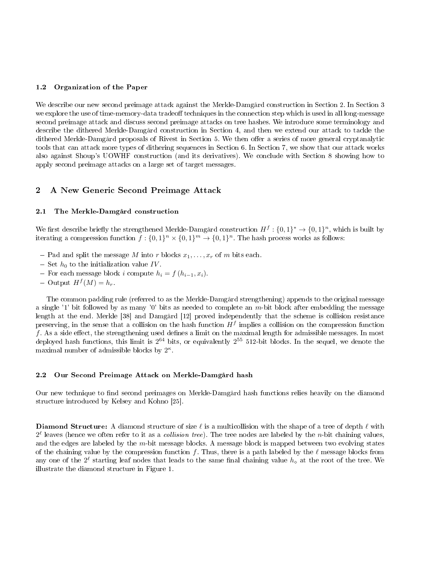#### 1.2 Organization of the Paper

We describe our new second preimage attack against the Merkle-Damgård construction in Section 2. In Section 3 we explore the use of time-memory-data tradeoff techniques in the connection step which is used in all long-message second preimage attack and discuss second preimage attacks on tree hashes. We introduce some terminology and describe the dithered Merkle-Damgård construction in Section 4, and then we extend our attack to tackle the dithered Merkle-Damgård proposals of Rivest in Section 5. We then offer a series of more general cryptanalytic tools that can attack more types of dithering sequences in Section 6. In Section 7, we show that our attack works also against Shoup's UOWHF construction (and its derivatives). We conclude with Section 8 showing how to apply second preimage attacks on a large set of target messages.

## 2 A New Generic Second Preimage Attack

#### 2.1 The Merkle-Damgård construction

We first describe briefly the strengthened Merkle-Damgård construction  $H^f: \{0,1\}^* \to \{0,1\}^n$ , which is built by iterating a compression function  $f: \{0,1\}^n \times \{0,1\}^m \to \{0,1\}^n$ . The hash process works as follows:

- Pad and split the message  $M$  into  $r$  blocks  $x_1, \ldots, x_r$  of  $m$  bits each.
- $-$  Set  $h_0$  to the initialization value IV.
- For each message block i compute  $h_i = f(h_{i-1}, x_i)$ .
- Output  $H^f(M) = h_r$ .

The common padding rule (referred to as the Merkle-Damgård strengthening) appends to the original message a single '1' bit followed by as many '0' bits as needed to complete an m-bit block after embedding the message length at the end. Merkle [38] and Damgård [12] proved independently that the scheme is collision resistance preserving, in the sense that a collision on the hash function  $H^f$  implies a collision on the compression function  $f$ . As a side effect, the strengthening used defines a limit on the maximal length for admissible messages. In most deployed hash functions, this limit is 2 <sup>64</sup> bits, or equivalently 2 <sup>55</sup> 512-bit blocks. In the sequel, we denote the maximal number of admissible blocks by  $2^{\kappa}$ .

#### 2.2 Our Second Preimage Attack on Merkle-Damgård hash

Our new technique to find second preimages on Merkle-Damgård hash functions relies heavily on the diamond structure introduced by Kelsey and Kohno [25].

**Diamond Structure:** A diamond structure of size  $\ell$  is a multicollision with the shape of a tree of depth  $\ell$  with  $2^{\ell}$  leaves (hence we often refer to it as a *collision tree*). The tree nodes are labeled by the *n*-bit chaining values, and the edges are labeled by the  $m$ -bit message blocks. A message block is mapped between two evolving states of the chaining value by the compression function f. Thus, there is a path labeled by the  $\ell$  message blocks from any one of the  $2^\ell$  starting leaf nodes that leads to the same final chaining value  $h_\diamond$  at the root of the tree. We illustrate the diamond structure in Figure 1.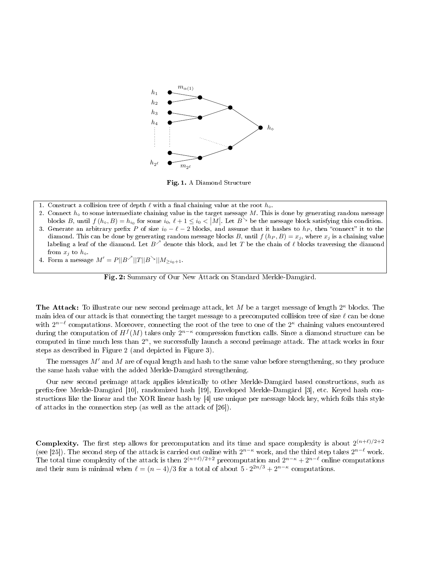

Fig. 1. A Diamond Structure

- 1. Construct a collision tree of depth  $\ell$  with a final chaining value at the root  $h_{\diamond}$ .
- 2. Connect  $h_{\circ}$  to some intermediate chaining value in the target message M. This is done by generating random message blocks B, until  $f(h_0, B) = h_{i_0}$  for some  $i_0, \ell + 1 \leq i_0 < |M|$ . Let  $B^{\searrow}$  be the message block satisfying this condition.
- 3. Generate an arbitrary prefix P of size  $i_0 \ell 2$  blocks, and assume that it hashes to  $h_P$ , then "connect" it to the diamond. This can be done by generating random message blocks B, until  $f(h_P, B) = x_j$ , where  $x_j$  is a chaining value labeling a leaf of the diamond. Let  $B^\nearrow$  denote this block, and let  $T$  be the chain of  $\ell$  blocks traversing the diamond from  $x_j$  to  $h_{\diamond}$ .
- 4. Form a message  $M' = P||B^{\nearrow}||T||B^{\searrow}||M_{\geq i_0+1}$ .



The Attack: To illustrate our new second preimage attack, let M be a target message of length  $2^{\kappa}$  blocks. The main idea of our attack is that connecting the target message to a precomputed collision tree of size  $\ell$  can be done with  $2^{n-\ell}$  computations. Moreover, connecting the root of the tree to one of the  $2^{\kappa}$  chaining values encountered during the computation of  $H^f(M)$  takes only  $2^{n-\kappa}$  compression function calls. Since a diamond structure can be computed in time much less than  $2^n$ , we successfully launch a second preimage attack. The attack works in four steps as described in Figure 2 (and depicted in Figure 3).

The messages  $M'$  and M are of equal length and hash to the same value before strengthening, so they produce the same hash value with the added Merkle-Damgård strengthening.

Our new second preimage attack applies identically to other Merkle-Damgård based constructions, such as prefix-free Merkle-Damgård [10], randomized hash [19], Enveloped Merkle-Damgård [3], etc. Keyed hash constructions like the linear and the XOR linear hash by [4] use unique per message block key, which foils this style of attacks in the connection step (as well as the attack of [26]).

**Complexity.** The first step allows for precomputation and its time and space complexity is about  $2^{(n+\ell)/2+2}$ (see [25]). The second step of the attack is carried out online with  $2^{n-\kappa}$  work, and the third step takes  $2^{n-\ell}$  work. The total time complexity of the attack is then  $2^{(n+\ell)/2+2}$  precomputation and  $2^{n-\kappa}+2^{n-\ell}$  online computations and their sum is minimal when  $\ell = (n-4)/3$  for a total of about  $5 \cdot 2^{2n/3} + 2^{n-\kappa}$  computations.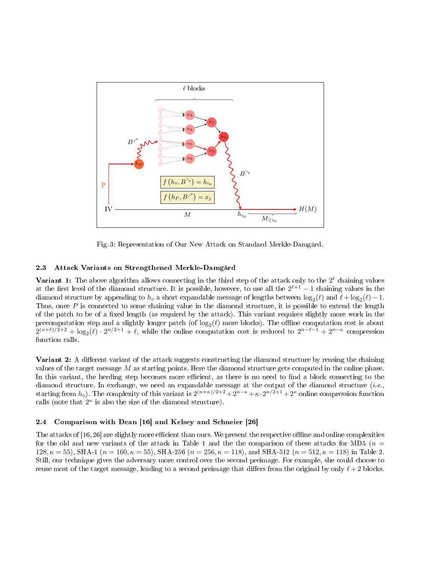

Fig. 3: Representation of Our New Attack on Standard Merkle-Damgård.

#### 2.3 Attack Variants on Strengthened Merkle-Damgård

Variant 1: The above algorithm allows connecting in the third step of the attack only to the  $2^{\ell}$  chaining values at the first level of the diamond structure. It is possible, however, to use all the  $2^{\ell+1} - 1$  chaining values in the diamond structure by appending to  $h_0$  a short expandable message of lengths between  $\log_2(\ell)$  and  $\ell + \log_2(\ell) - 1$ . Thus, once  $P$  is connected to some chaining value in the diamond structure, it is possible to extend the length of the patch to be of a fixed length (as required by the attack). This variant requires slightly more work in the precomputation step and a slightly longer patch (of  $\log_2(\ell)$  more blocks). The offline computation cost is about  $2^{(n+\ell)/2+2} + \log_2(\ell) \cdot 2^{n/2+1} + \ell$ , while the online computation cost is reduced to  $2^{n-\ell-1} + 2^{n-\kappa}$  compression function calls.

Variant 2: A different variant of the attack suggests constructing the diamond structure by reusing the chaining values of the target message  $M$  as starting points. Here the diamond structure gets computed in the online phase. In this variant, the herding step becomes more efficient, as there is no need to find a block connecting to the diamond structure. In exchange, we need an expandable message at the output of the diamond structure (*i.e.*, starting from  $h_\diamond$ ). The complexity of this variant is  $2^{(n+\kappa)/2+2}+2^{n-\kappa}+\kappa\cdot 2^{n/2+1}+2^\kappa$  online compression function calls (note that  $2^{\kappa}$  is also the size of the diamond structure).

# 2.4 Comparison with Dean [16] and Kelsey and Schneier [26]

The attacks of [16, 26] are slightly more efficient than ours. We present the respective offline and online complexities for the old and new variants of the attack in Table 1 and the the comparison of these attacks for MD5 ( $n =$  $128, \kappa = 55$ , SHA-1 ( $n = 160, \kappa = 55$ ), SHA-256 ( $n = 256, \kappa = 118$ ), and SHA-512 ( $n = 512, \kappa = 118$ ) in Table 2. Still, our technique gives the adversary more control over the second preimage. For example, she could choose to reuse most of the target message, leading to a second preimage that differs from the original by only  $\ell + 2$  blocks.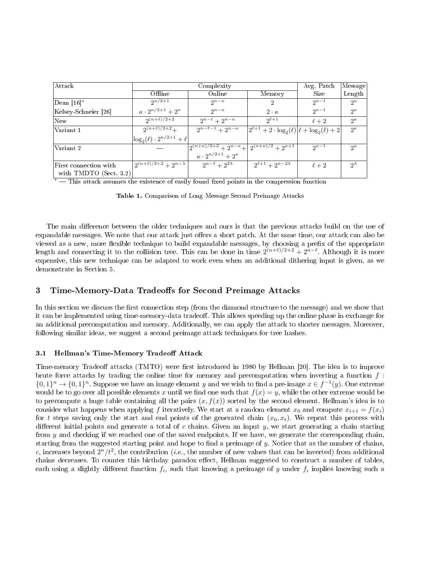| $ \mathrm{Attack} $    |                                       | Avg. Patch                                                      | Message                                                |                |               |
|------------------------|---------------------------------------|-----------------------------------------------------------------|--------------------------------------------------------|----------------|---------------|
|                        | Offline                               | Online                                                          | Memory                                                 | Size           | Length        |
| Dean [16]*             | $2^{n/2+1}$                           | $2^{n-\kappa}$                                                  | 2                                                      | $2^{\kappa-1}$ | $2^{\kappa}$  |
| Kelsey-Schneier [26]   | $\kappa \cdot 2^{n/2+1} + 2^{\kappa}$ | $2^{n-\kappa}$                                                  | $2 \cdot \kappa$                                       | $2^{\kappa-1}$ | $2^{\kappa}$  |
| New                    | $2^{(n+\ell)/2+2}$                    | $2^{n-\ell}+2^{n-\kappa}$                                       | $2^{\ell+1}$                                           | $\ell+2$       | $2^{\kappa}$  |
| Variant 1              | $2^{(n+\ell)/2+2}+$                   | $2^{n-\ell-1}+2^{n-\kappa}$                                     | $ 2^{\ell+1}+2\cdot \log_2(\ell) \ell+\log_2(\ell)+2 $ |                | $2^{\kappa}$  |
|                        | $\log_2(\ell) \cdot 2^{n/2+1} + \ell$ |                                                                 |                                                        |                |               |
| Variant 2              |                                       | $2^{(n+\kappa)/2+2}+2^{n-\kappa}+2^{(n+\kappa)/2}+2^{\kappa+1}$ |                                                        | $2^{\kappa-1}$ | $2^{\kappa}$  |
|                        |                                       | $\kappa \cdot 2^{n/2+1} + 2^{\kappa}$                           |                                                        |                |               |
| First connection with  | $2^{(n+\ell)/2+2}+2^{n-\lambda}$      | $2^{n-\ell}+2^{2\lambda}$                                       | $2^{\ell+1}+2^{n-2\lambda}$                            | $\ell+2$       | $2^{\lambda}$ |
| with TMDTO (Sect. 3.2) |                                       |                                                                 |                                                        |                |               |

 $\overline{a^*}$  This attack assumes the existence of easily found fixed points in the compression function

Table 1. Comparison of Long Message Second Preimage Attacks

The main difference between the older techniques and ours is that the previous attacks build on the use of expandable messages. We note that our attack just offers a short patch. At the same time, our attack can also be viewed as a new, more flexible technique to build expandable messages, by choosing a prefix of the appropriate length and connecting it to the collision tree. This can be done in time  $2^{(n+\ell)/2+2} + 2^{n-\ell}$ . Although it is more expensive, this new technique can be adapted to work even when an additional dithering input is given, as we demonstrate in Section 5.

# 3 Time-Memory-Data Tradeoffs for Second Preimage Attacks

In this section we discuss the first connection step (from the diamond structure to the message) and we show that it can be implemented using time-memory-data tradeoff. This allows speeding up the online phase in exchange for an additional precomputation and memory. Additionally, we can apply the attack to shorter messages. Moreover, following similar ideas, we suggest a second preimage attack techniques for tree hashes.

#### 3.1 Hellman's Time-Memory Tradeoff Attack

Time-memory Tradeoff attacks (TMTO) were first introduced in 1980 by Hellman [20]. The idea is to improve brute force attacks by trading the online time for memory and precomputation when inverting a function  $f$ :  $\{0,1\}^n \to \{0,1\}^n$ . Suppose we have an image element y and we wish to find a pre-image  $x \in f^{-1}(y)$ . One extreme would be to go over all possible elements x until we find one such that  $f(x) = y$ , while the other extreme would be to precompute a huge table containing all the pairs  $(x, f(x))$  sorted by the second element. Hellman's idea is to consider what happens when applying f iteratively. We start at a random element  $x_0$  and compute  $x_{i+1} = f(x_i)$ for t steps saving only the start and end points of the generated chain  $(x_0, x_t)$ . We repeat this process with different initial points and generate a total of c chains. Given an input  $y$ , we start generating a chain starting from y and checking if we reached one of the saved endpoints. If we have, we generate the corresponding chain, starting from the suggested starting point and hope to find a preimage of  $y$ . Notice that as the number of chains, c, increases beyond  $2^n/t^2$ , the contribution (*i.e.*, the number of new values that can be inverted) from additional chains decreases. To counter this birthday paradox effect, Hellman suggested to construct a number of tables, each using a slightly different function  $f_i$ , such that knowing a preimage of  $y$  under  $f_i$  implies knowing such a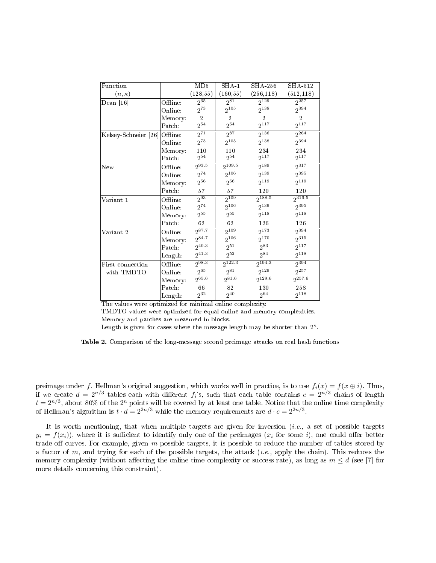| Function                      |          | MD5                 | SHA <sub>1</sub>    | <b>SHA 256</b> | SHA-512          |
|-------------------------------|----------|---------------------|---------------------|----------------|------------------|
| $(n,\kappa)$                  |          | (128, 55)           | (160, 55)           | (256, 118)     | (512, 118)       |
| Dean [16]                     | Offline: | $2^{\overline{65}}$ | $2^{\overline{81}}$ | $2^{129}$      | $\sqrt{2^{257}}$ |
|                               | Online:  | $2^{73}$            | $2^{105}$           | $2^{138}$      | $2^{394}$        |
|                               | Memory:  | $\overline{2}$      | $\overline{2}$      | $\overline{2}$ | $\mathfrak{D}$   |
|                               | Patch:   | $2^{54}$            | $2^{54}$            | $2^{117}$      | $2^{117}$        |
| Kelsey-Schneier [26] Offline: |          | $2^{71}$            | $2^{87}$            | $2^{136}$      | $2^{264}$        |
|                               | Online:  | $2^{73}$            | $2^{105}$           | $2^{138}$      | 2394             |
|                               | Memory:  | 110                 | 110                 | 234            | 234              |
|                               | Patch:   | $2^{54}\,$          | $2^{54}$            | $2^{117}$      | $2^{117}$        |
| New                           | Offline: | $2^{93.5}$          | $2^{109.5}$         | $2^{189}$      | $2^{317}$        |
|                               | Online:  | $2^{74}$            | $2^{106}$           | $2^{139}$      | $2^{395}$        |
|                               | Memory:  | $2^{56}$            | $2^{56}$            | $2^{119}$      | $2^{119}$        |
|                               | Patch:   | 57                  | 57                  | 120            | 120              |
| Variant 1                     | Offline: | $2^{93}$            | $2^{109}$           | $2^{188.5}$    | $2^{316.5}$      |
|                               | Online:  | $2^{74}$            | $2^{106}$           | $2^{139}$      | $2^{395}$        |
|                               | Memory:  | $2^{55}$            | $2^{55}$            | $2^{118}$      | $2^{118}$        |
|                               | Patch:   | 62                  | 62                  | 126            | 126              |
| Variant 2                     | Online:  | $2^{87.7}$          | $2^{109}$           | $2^{173}$      | $2^{394}$        |
|                               | Memory:  | $2^{84.7}$          | $2^{106}$           | $2^{170}$      | $2^{315}$        |
|                               | Patch:   | $2^{40.3}$          | $2^{51}$            | $2^{83}$       | $2^{117}$        |
|                               | Length:  | $2^{41.3}$          | $2^{52}$            | $2^{84}$       | $2^{118}$        |
| First connection              | Offline: | $2^{98.3}$          | $2^{122.3}$         | $2^{194.3}$    | 2394             |
| with TMDTO                    | Online:  | $2^{65}$            | $2^{81}$            | $2^{129}$      | $2^{257}$        |
|                               | Memory:  | $2^{65.6}$          | $2^{81.6}$          | $2^{129.6}$    | $2^{257.6}$      |
|                               | Patch:   | 66                  | 82                  | 130            | 258              |
|                               | Length:  | $2^{32}$            | $2^{40}$            | $2^{64}$       | $2^{118}$        |

The values were optimized for minimal online complexity.

TMDTO values were optimized for equal online and memory complexities. Memory and patches are measured in blocks.

Length is given for cases where the message length may be shorter than  $2^{\kappa}$ .

Table 2. Comparison of the long-message second preimage attacks on real hash functions

preimage under f. Hellman's original suggestion, which works well in practice, is to use  $f_i(x) = f(x \oplus i)$ . Thus, if we create  $d = 2^{n/3}$  tables each with different  $f_i$ 's, such that each table contains  $c = 2^{n/3}$  chains of length  $t=2^{n/3}$ , about 80% of the  $2^n$  points will be covered by at least one table. Notice that the online time complexity of Hellman's algorithm is  $t \cdot d = 2^{2n/3}$  while the memory requirements are  $d \cdot c = 2^{2n/3}$ .

It is worth mentioning, that when multiple targets are given for inversion  $(i.e.,$  a set of possible targets  $y_i = f(x_i)$ , where it is sufficient to identify only one of the preimages  $(x_i$  for some i), one could offer better trade off curves. For example, given  $m$  possible targets, it is possible to reduce the number of tables stored by a factor of m, and trying for each of the possible targets, the attack (*i.e.*, apply the chain). This reduces the memory complexity (without affecting the online time complexity or success rate), as long as  $m \leq d$  (see [7] for more details concerning this constraint).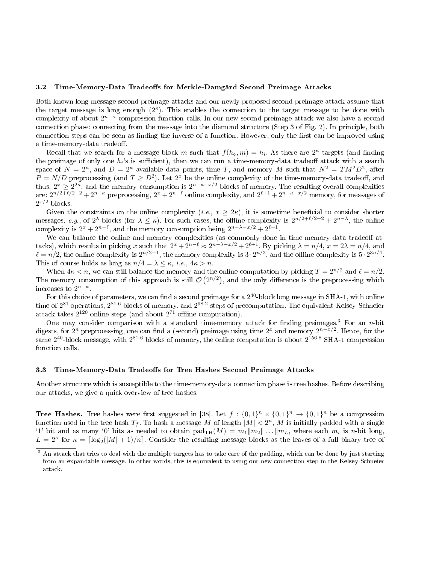#### 3.2 Time-Memory-Data Tradeoffs for Merkle-Damgård Second Preimage Attacks

Both known long-message second preimage attacks and our newly proposed second preimage attack assume that the target message is long enough  $(2^{\kappa})$ . This enables the connection to the target message to be done with complexity of about 2<sup>n−k</sup> compression function calls. In our new second preimage attack we also have a second connection phase: connecting from the message into the diamond structure (Step 3 of Fig. 2). In principle, both connection steps can be seen as finding the inverse of a function. However, only the first can be improved using a time-memory-data tradeoff.

Recall that we search for a message block m such that  $f(h_{\diamond}, m) = h_i$ . As there are  $2^{\kappa}$  targets (and finding the preimage of only one  $h_i$ 's is sufficient), then we can run a time-memory-data tradeoff attack with a search space of  $N = 2^n$ , and  $D = 2^{\kappa}$  available data points, time T, and memory M such that  $N^2 = TM^2D^2$ , after  $P = N/D$  preprocessing (and  $T \geq D^2$ ). Let  $2^x$  be the online complexity of the time-memory-data tradeoff, and thus,  $2^x \ge 2^{2\kappa}$ , and the memory consumption is  $2^{n-\kappa-x/2}$  blocks of memory. The resulting overall complexities are:  $2^{n/2+\ell/2+2}+2^{n-\kappa}$  preprocessing,  $2^x+2^{n-\ell}$  online complexity, and  $2^{\ell+1}+2^{n-\kappa-x/2}$  memory, for messages of  $2^{x/2}$  blocks.

Given the constraints on the online complexity  $(i.e., x \geq 2\kappa)$ , it is sometime beneficial to consider shorter messages, e.g., of  $2^{\lambda}$  blocks (for  $\lambda \leq \kappa$ ). For such cases, the offline complexity is  $2^{n/2+\ell/2+2}+2^{n-\lambda}$ , the online complexity is  $2^x + 2^{n-\ell}$ , and the memory consumption being  $2^{n-\lambda-x/2} + 2^{\ell+1}$ .

We can balance the online and memory complexities (as commonly done in time-memory-data tradeoff attacks), which results in picking x such that  $2^x + 2^{n-\ell} \approx 2^{n-\lambda-x/2} + 2^{\ell+1}$ . By picking  $\lambda = n/4$ ,  $x = 2\lambda = n/4$ , and  $\ell = n/2$ , the online complexity is  $2^{n/2+1}$ , the memory complexity is  $3 \cdot 2^{n/2}$ , and the offline complexity is  $5 \cdot 2^{3n/4}$ . This of course holds as long as  $n/4 = \lambda \leq \kappa$ , *i.e.*,  $4\kappa > n$ .

When  $4\kappa < n$ , we can still balance the memory and the online computation by picking  $T = 2^{n/2}$  and  $\ell = n/2$ . The memory consumption of this approach is still  $\mathcal{O}(2^{n/2})$ , and the only difference is the preprocessing which increases to  $2^{n-\kappa}$ .

For this choice of parameters, we can find a second preimage for a  $2^{40}$ -block long message in SHA-1, with online time of 2<sup>81</sup> operations, 2<sup>81.6</sup> blocks of memory, and 2<sup>98.2</sup> steps of precomputation. The equivalent Kelsey-Schneier attack takes  $2^{120}$  online steps (and about  $2^{71}$  offline computation).

One may consider comparison with a standard time-memory attack for finding preimages.<sup>3</sup> For an n-bit digests, for  $2^n$  preprocessing, one can find a (second) preimage using time  $2^x$  and memory  $2^{n-x/2}$ . Hence, for the same  $2^{40}$ -block message, with  $2^{81.6}$  blocks of memory, the online computation is about  $2^{156.8}$  SHA-1 compression function calls.

#### 3.3 Time-Memory-Data Tradeoffs for Tree Hashes Second Preimage Attacks

Another structure which is susceptible to the time-memory-data connection phase is tree hashes. Before describing our attacks, we give a quick overview of tree hashes.

**Tree Hashes.** Tree hashes were first suggested in [38]. Let  $f: \{0,1\}^n \times \{0,1\}^n \to \{0,1\}^n$  be a compression function used in the tree hash  $T_f$ . To hash a message M of length  $|M| < 2^n$ , M is initially padded with a single '1' bit and as many '0' bits as needed to obtain  $\text{pad}_{TH}(M) = m_1||m_2|| \dots ||m_L$ , where each  $m_i$  is *n*-bit long,  $L = 2^{\kappa}$  for  $\kappa = \lceil \log_2(|M| + 1)/n \rceil$ . Consider the resulting message blocks as the leaves of a full binary tree of

<sup>&</sup>lt;sup>3</sup> An attack that tries to deal with the multiple targets has to take care of the padding, which can be done by just starting from an expandable message. In other words, this is equivalent to using our new connection step in the Kelsey-Schneier attack.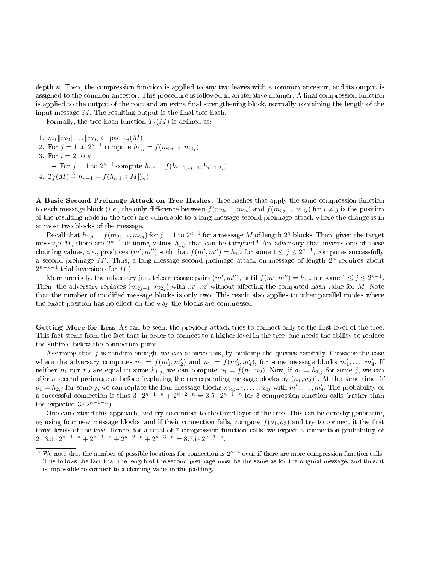depth κ. Then, the compression function is applied to any two leaves with a common ancestor, and its output is assigned to the common ancestor. This procedure is followed in an iterative manner. A final compression function is applied to the output of the root and an extra final strengthening block, normally containing the length of the input message  $M$ . The resulting output is the final tree hash.

Formally, the tree hash function  $T_f(M)$  is defined as:

- 1.  $m_1||m_2|| \dots ||m_L \leftarrow \text{pad}_{\text{TH}}(M)$
- 2. For  $j = 1$  to  $2^{\kappa 1}$  compute  $h_{1,j} = f(m_{2j-1}, m_{2j})$
- 3. For  $i=2$  to  $\kappa$ 
	- For  $j = 1$  to  $2^{\kappa i}$  compute  $h_{i,j} = f(h_{i-1,2j-1}, h_{i-1,2j})$
- 4.  $T_f(M) \triangleq h_{\kappa+1} = f(h_{\kappa,1},\langle |M|\rangle_n).$

A Basic Second Preimage Attack on Tree Hashes. Tree hashes that apply the same compression function to each message block (*i.e.*, the only difference between  $f(m_{2i-1}, m_{2i})$  and  $f(m_{2i-1}, m_{2i})$  for  $i \neq j$  is the position of the resulting node in the tree) are vulnerable to a long-message second preimage attack where the change is in at most two blocks of the message.

Recall that  $h_{1,j} = f(m_{2j-1}, m_{2j})$  for  $j = 1$  to  $2^{\kappa - 1}$  for a message  $M$  of length  $2^{\kappa}$  blocks. Then, given the target message M, there are  $2^{\kappa-1}$  chaining values  $h_{1,j}$  that can be targeted.<sup>4</sup> An adversary that inverts one of these chaining values, *i.e.*, produces  $(m', m'')$  such that  $f(m', m'') = h_{1,j}$  for some  $1 \le j \le 2^{\kappa - 1}$ , computes successfully a second preimage M'. Thus, a long-message second preimage attack on message of length  $2^{\kappa}$  requires about  $2^{n-\kappa+1}$  trial inversions for  $f(\cdot)$ .

More precisely, the adversary just tries message pairs  $(m', m'')$ , until  $f(m', m'') = h_{1,j}$  for some  $1 \le j \le 2^{\kappa - 1}$ . Then, the adversary replaces  $(m_{2j-1}||m_{2j})$  with  $m'||m'$  without affecting the computed hash value for M. Note that the number of modified message blocks is only two. This result also applies to other parallel modes where the exact position has no effect on the way the blocks are compressed.

Getting More for Less As can be seen, the previous attack tries to connect only to the first level of the tree. This fact stems from the fact that in order to connect to a higher level in the tree, one needs the ability to replace the subtree below the connection point.

Assuming that f is random enough, we can achieve this, by building the queries carefully. Consider the case where the adversary computes  $n_1 = f(m'_1, m'_2)$  and  $n_2 = f(m'_3, m'_4)$ , for some message blocks  $m'_1, \ldots, m'_4$ . If neither  $n_1$  nor  $n_2$  are equal to some  $h_{1,j}$ , we can compute  $o_1 = f(n_1, n_2)$ . Now, if  $o_1 = h_{1,j}$  for some j, we can offer a second preimage as before (replacing the corresponding message blocks by  $(n_1, n_2)$ ). At the same time, if  $o_1 = h_{2,j}$  for some j, we can replace the four message blocks  $m_{4j-3}, \ldots, m_{4j}$  with  $m'_1, \ldots, m'_4$ . The probability of a successful connection is thus  $3 \cdot 2^{\kappa-1-n} + 2^{\kappa-2-n} = 3.5 \cdot 2^{\kappa-1-n}$  for 3 compression function calls (rather than the expected  $3 \cdot 2^{\kappa - 1 - n}$ .

One can extend this approach, and try to connect to the third layer of the tree. This can be done by generating  $o_2$  using four new message blocks, and if their connection fails, compute  $f(o_1, o_2)$  and try to connect it the first three levels of the tree. Hence, for a total of 7 compression function calls, we expect a connection probability of 2 ·  $3.5 \cdot 2^{\kappa - 1 - n} + 2^{\kappa - 1 - n} + 2^{\kappa - 2 - n} + 2^{\kappa - 3 - n} = 8.75 \cdot 2^{\kappa - 1 - n}.$ 

<sup>&</sup>lt;sup>4</sup> We note that the number of possible locations for connection is  $2^{\kappa-1}$  even if there are more compression function calls. This follows the fact that the length of the second preimage must be the same as for the original message, and thus, it is impossible to connect to a chaining value in the padding.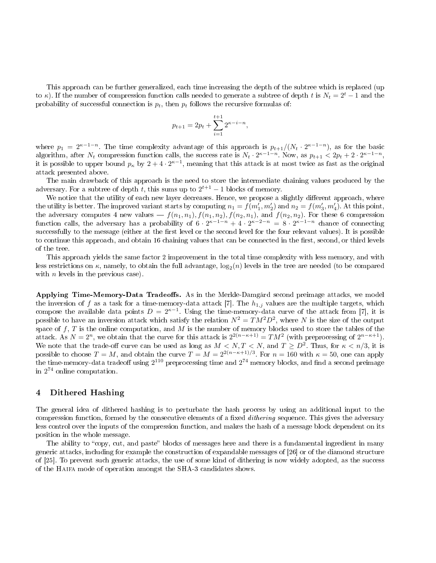This approach can be further generalized, each time increasing the depth of the subtree which is replaced (up to  $\kappa$ ). If the number of compression function calls needed to generate a subtree of depth t is  $N_t = 2^t - 1$  and the probability of successful connection is  $p_t$ , then  $p_t$  follows the recursive formulas of:

$$
p_{t+1} = 2p_t + \sum_{i=1}^{t+1} 2^{\kappa - i - n},
$$

where  $p_1 = 2^{\kappa-1-n}$ . The time complexity advantage of this approach is  $p_{t+1}/(N_t \cdot 2^{\kappa-1-n})$ , as for the basic algorithm, after  $N_t$  compression function calls, the success rate is  $N_t \cdot 2^{\kappa-1-n}$ . Now, as  $p_{t+1} < 2p_t + 2 \cdot 2^{\kappa-1-n}$ , it is possible to upper bound  $p_\kappa$  by  $2+4\cdot2^{\kappa-1},$  meaning that this attack is at most twice as fast as the original attack presented above.

The main drawback of this approach is the need to store the intermediate chaining values produced by the adversary. For a subtree of depth t, this sums up to  $2^{t+1} - 1$  blocks of memory.

We notice that the utility of each new layer decreases. Hence, we propose a slightly different approach, where the utility is better. The improved variant starts by computing  $n_1 = f(m'_1, m'_2)$  and  $n_2 = f(m'_3, m'_4)$ . At this point, the adversary computes 4 new values —  $f(n_1, n_1), f(n_1, n_2), f(n_2, n_1)$ , and  $f(n_2, n_2)$ . For these 6 compression function calls, the adversary has a probability of  $6 \cdot 2^{\kappa-1-n} + 4 \cdot 2^{\kappa-2-n} = 8 \cdot 2^{\kappa-1-n}$  chance of connecting successfully to the message (either at the first level or the second level for the four relevant values). It is possible to continue this approach, and obtain 16 chaining values that can be connected in the first, second, or third levels of the tree.

This approach yields the same factor 2 improvement in the total time complexity with less memory, and with less restrictions on  $\kappa,$  namely, to obtain the full advantage,  $\log_2(n)$  levels in the tree are needed (to be compared with  $n$  levels in the previous case).

Applying Time-Memory-Data Tradeoffs. As in the Merkle-Damgård second preimage attacks, we model the inversion of f as a task for a time-memory-data attack [7]. The  $h_{1,j}$  values are the multiple targets, which compose the available data points  $D = 2<sup>κ−1</sup>$ . Using the time-memory-data curve of the attack from [7], it is possible to have an inversion attack which satisfy the relation  $N^2=TM^2D^2,$  where  $N$  is the size of the output space of  $f, T$  is the online computation, and M is the number of memory blocks used to store the tables of the attack. As  $N = 2^n$ , we obtain that the curve for this attack is  $2^{2(n-\kappa+1)} = TM^2$  (with preprocessing of  $2^{n-\kappa+1}$ ). We note that the trade-off curve can be used as long as  $M < N, T < N$ , and  $T \ge D^2$ . Thus, for  $\kappa < n/3$ , it is possible to choose  $T = M$ , and obtain the curve  $T = M = 2^{2(n-\kappa+1)/3}$ . For  $n = 160$  with  $\kappa = 50$ , one can apply the time-memory-data tradeoff using  $2^{110}$  preprocessing time and  $2^{74}$  memory blocks, and find a second preimage in 2 <sup>74</sup> online computation.

# 4 Dithered Hashing

The general idea of dithered hashing is to perturbate the hash process by using an additional input to the compression function, formed by the consecutive elements of a fixed *dithering* sequence. This gives the adversary less control over the inputs of the compression function, and makes the hash of a message block dependent on its position in the whole message.

The ability to "copy, cut, and paste" blocks of messages here and there is a fundamental ingredient in many generic attacks, including for example the construction of expandable messages of [26] or of the diamond structure of [25]. To prevent such generic attacks, the use of some kind of dithering is now widely adopted, as the success of the Haifa mode of operation amongst the SHA-3 candidates shows.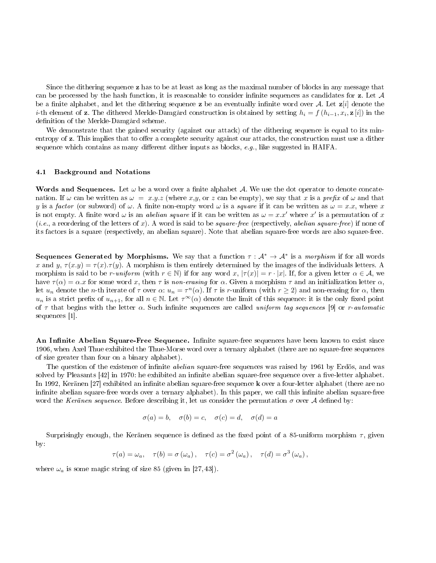Since the dithering sequence z has to be at least as long as the maximal number of blocks in any message that can be processed by the hash function, it is reasonable to consider infinite sequences as candidates for  $z$ . Let  $A$ be a finite alphabet, and let the dithering sequence z be an eventually infinite word over A. Let  $z[i]$  denote the  $i$ -th element of  $\bf z$ . The dithered Merkle-Damgård construction is obtained by setting  $h_i=f\left(h_{i-1},x_i, \bf z\left[i\right]\right)$  in the definition of the Merkle-Damgård scheme.

We demonstrate that the gained security (against our attack) of the dithering sequence is equal to its minentropy of z. This implies that to offer a complete security against our attacks, the construction must use a dither sequence which contains as many different dither inputs as blocks,  $e.g.,$  like suggested in HAIFA.

#### 4.1 Background and Notations

Words and Sequences. Let  $\omega$  be a word over a finite alphabet A. We use the dot operator to denote concatenation. If  $\omega$  can be written as  $\omega = x.y.z$  (where x,y, or z can be empty), we say that x is a prefix of  $\omega$  and that y is a factor (or subword) of  $\omega$ . A finite non-empty word  $\omega$  is a *square* if it can be written as  $\omega = x.x$ , where x is not empty. A finite word  $\omega$  is an *abelian square* if it can be written as  $\omega = x.x'$  where  $x'$  is a permutation of x  $(i.e., a reordering of the letters of x). A word is said to be square-free (respectively, abelian square-free) if none of$ its factors is a square (respectively, an abelian square). Note that abelian square-free words are also square-free.

Sequences Generated by Morphisms. We say that a function  $\tau : \mathcal{A}^* \to \mathcal{A}^*$  is a morphism if for all words x and y,  $\tau(x,y) = \tau(x) \cdot \tau(y)$ . A morphism is then entirely determined by the images of the individuals letters. morphism is said to be r-uniform (with  $r \in \mathbb{N}$ ) if for any word x,  $|\tau(x)| = r \cdot |x|$ . If, for a given letter  $\alpha \in \mathcal{A}$ , we have  $\tau(\alpha) = \alpha \cdot x$  for some word x, then  $\tau$  is non-erasing for  $\alpha$ . Given a morphism  $\tau$  and an initialization letter  $\alpha$ . Let  $u_n$  denote the *n*-th iterate of  $\tau$  over  $\alpha$ :  $u_n = \tau^n(\alpha)$ . If  $\tau$  is r-uniform (with  $r \ge 2$ ) and non-erasing for  $\alpha$ , then  $u_n$  is a strict prefix of  $u_{n+1}$ , for all  $n \in \mathbb{N}$ . Let  $\tau^{\infty}(\alpha)$  denote the limit of this sequence: it is the only fixed point of  $\tau$  that begins with the letter  $\alpha$ . Such infinite sequences are called uniform tag sequences [9] or r-automatic sequences [1].

An Infinite Abelian Square-Free Sequence. Infinite square-free sequences have been known to exist since 1906, when Axel Thue exhibited the Thue-Morse word over a ternary alphabet (there are no square-free sequences of size greater than four on a binary alphabet).

The question of the existence of infinite *abelian* square-free sequences was raised by 1961 by Erdös, and was solved by Pleasants [42] in 1970: he exhibited an infinite abelian square-free sequence over a five-letter alphabet. In 1992, Keränen [27] exhibited an infinite abelian square-free sequence **k** over a four-letter alphabet (there are no infinite abelian square-free words over a ternary alphabet). In this paper, we call this infinite abelian square-free word the Keränen sequence. Before describing it, let us consider the permutation  $\sigma$  over A defined by:

$$
\sigma(a) = b, \quad \sigma(b) = c, \quad \sigma(c) = d, \quad \sigma(d) = a
$$

Surprisingly enough, the Keränen sequence is defined as the fixed point of a 85-uniform morphism  $\tau$ , given by:

$$
\tau(a) = \omega_a, \quad \tau(b) = \sigma(\omega_a), \quad \tau(c) = \sigma^2(\omega_a), \quad \tau(d) = \sigma^3(\omega_a),
$$

where  $\omega_a$  is some magic string of size 85 (given in [27, 43]).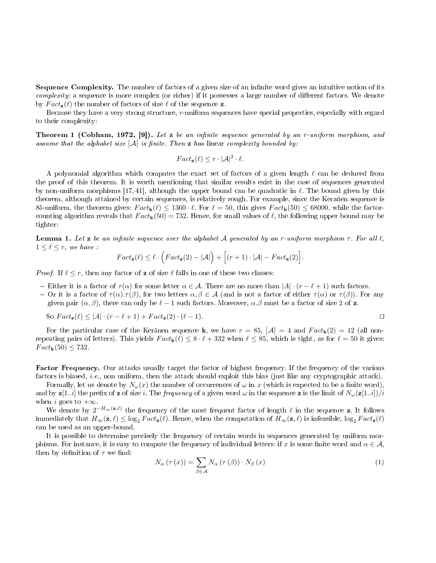Sequence Complexity. The number of factors of a given size of an infinite word gives an intuitive notion of its complexity: a sequence is more complex (or richer) if it possesses a large number of different factors. We denote by  $Fact_{\mathbf{z}}(\ell)$  the number of factors of size  $\ell$  of the sequence **z**.

Because they have a very strong structure, r-uniform sequences have special properties, especially with regard to their complexity:

**Theorem 1 (Cobham, 1972, [9]).** Let z be an infinite sequence generated by an r-uniform morphism, and assume that the alphabet size  $|\mathcal{A}|$  is finite. Then **z** has linear complexity bounded by:

$$
Fact_{\mathbf{z}}(\ell) \le r \cdot |\mathcal{A}|^2 \cdot \ell.
$$

A polynomial algorithm which computes the exact set of factors of a given length  $\ell$  can be deduced from the proof of this theorem. It is worth mentioning that similar results exist in the case of sequences generated by non-uniform morphisms [17, 41], although the upper bound can be quadratic in  $\ell$ . The bound given by this theorem, although attained by certain sequences, is relatively rough. For example, since the Keranen sequence is 85-uniform, the theorem gives:  $Fact_k(\ell) \leq 1360 \cdot \ell$ . For  $\ell = 50$ , this gives  $Fact_k(50) \leq 68000$ , while the factorcounting algorithm reveals that  $Fact_k(50) = 732$ . Hence, for small values of  $\ell$ , the following upper bound may be tighter:

Lemma 1. Let z be an infinite sequence over the alphabet A generated by an r-uniform morphism  $\tau$ . For all  $\ell$ ,  $1 \leq \ell \leq r$ , we have :

$$
Fact_{\mathbf{z}}(\ell) \leq \ell \cdot \left( Fact_{\mathbf{z}}(2) - |\mathcal{A}| \right) + \Big[ (r+1) \cdot |\mathcal{A}| - Fact_{\mathbf{z}}(2) \Big].
$$

*Proof.* If  $\ell \leq r$ , then any factor of **z** of size  $\ell$  falls in one of these two classes:

- Either it is a factor of  $\tau(\alpha)$  for some letter  $\alpha \in \mathcal{A}$ . There are no more than  $|A| \cdot (r \ell + 1)$  such factors.
- $-$  Or it is a factor of  $τ(α) .τ(β)$ , for two letters  $α, β ∈ A$  (and is not a factor of either  $τ(α)$  or  $τ(β)$ ). For any given pair  $(\alpha, \beta)$ , there can only be  $\ell - 1$  such factors. Moreover,  $\alpha, \beta$  must be a factor of size 2 of z.

So 
$$
Fact_z(\ell) \le |A| \cdot (r - \ell + 1) + Fact_z(2) \cdot (\ell - 1)
$$
.

For the particular case of the Keränen sequence **k**, we have  $r = 85$ ,  $|\mathcal{A}| = 4$  and  $Fact_{\mathbf{k}}(2) = 12$  (all nonrepeating pairs of letters). This yields  $Fact_k(\ell) \leq 8 \cdot \ell + 332$  when  $\ell \leq 85$ , which is tight, as for  $\ell = 50$  it gives:  $Fact_{\mathbf{k}}(50) \leq 732.$ 

Factor Frequency. Our attacks usually target the factor of highest frequency. If the frequency of the various factors is biased, i.e., non uniform, then the attack should exploit this bias (just like any cryptographic attack).

Formally, let us denote by  $N_{\omega}(x)$  the number of occurrences of  $\omega$  in x (which is expected to be a finite word). and by  $z[1..i]$  the prefix of z of size i. The frequency of a given word  $\omega$  in the sequence z is the limit of  $N_{\omega}(z[1..i])/i$ when i goes to  $+\infty$ .

We denote by  $2^{-H_{\infty}(\mathbf{z},\ell)}$  the frequency of the most frequent factor of length  $\ell$  in the sequence z. It follows immediately that  $H_{\infty}(\mathbf{z}, \ell) \leq \log_2 Fact_{\mathbf{z}}(\ell)$ . Hence, when the computation of  $H_{\infty}(\mathbf{z}, \ell)$  is infeasible,  $\log_2 Fact_{\mathbf{z}}(\ell)$ can be used as an upper-bound.

It is possible to determine precisely the frequency of certain words in sequences generated by uniform morphisms. For instance, it is easy to compute the frequency of individual letters: if x is some finite word and  $\alpha \in \mathcal{A}$ , then by definition of  $\tau$  we find:

$$
N_{\alpha}\left(\tau\left(x\right)\right) = \sum_{\beta \in \mathcal{A}} N_{\alpha}\left(\tau\left(\beta\right)\right) \cdot N_{\beta}\left(x\right) \tag{1}
$$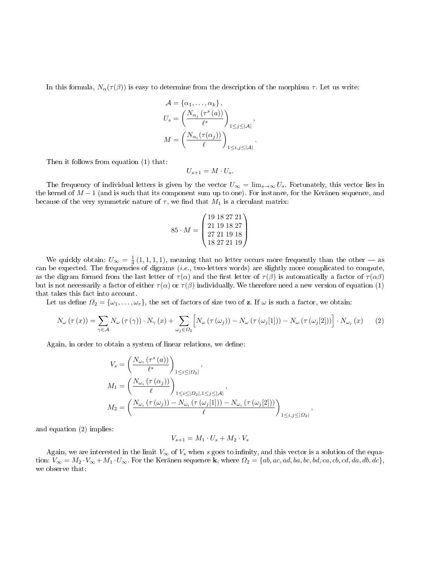In this formula,  $N_{\alpha}(\tau(\beta))$  is easy to determine from the description of the morphism  $\tau$ . Let us write:

$$
\mathcal{A} = \{\alpha_1, \dots, \alpha_k\},
$$
  
\n
$$
U_s = \left(\frac{N_{\alpha_j}(\tau^s(a))}{\ell^s}\right)_{1 \le j \le |\mathcal{A}|},
$$
  
\n
$$
M = \left(\frac{N_{\alpha_i}(\tau(\alpha_j))}{\ell}\right)_{1 \le i,j \le |\mathcal{A}|}.
$$

Then it follows from equation (1) that:

$$
U_{s+1}=M\cdot U_s.
$$

The frequency of individual letters is given by the vector  $U_{\infty} = \lim_{s\to\infty} U_s$ . Fortunately, this vector lies in the kernel of  $M-1$  (and is such that its component sum up to one). For instance, for the Keränen sequence, and because of the very symmetric nature of  $\tau$ , we find that  $M_1$  is a circulant matrix:

$$
85 \cdot M = \begin{pmatrix} 19 & 18 & 27 & 21 \\ 21 & 19 & 18 & 27 \\ 27 & 21 & 19 & 18 \\ 18 & 27 & 21 & 19 \end{pmatrix}
$$

We quickly obtain:  $U_{\infty} = \frac{1}{4} (1, 1, 1, 1)$ , meaning that no letter occurs more frequently than the other — as can be expected. The frequencies of digrams (i.e., two-letters words) are slightly more complicated to compute, as the digram formed from the last letter of  $\tau(\alpha)$  and the first letter of  $\tau(\beta)$  is automatically a factor of  $\tau(\alpha\beta)$ but is not necessarily a factor of either  $\tau(\alpha)$  or  $\tau(\beta)$  individually. We therefore need a new version of equation (1) that takes this fact into account.

Let us define  $\Omega_2 = {\omega_1, \ldots, \omega_r}$ , the set of factors of size two of **z**. If  $\omega$  is such a factor, we obtain:

$$
N_{\omega}(\tau(x)) = \sum_{\gamma \in \mathcal{A}} N_{\omega}(\tau(\gamma)) \cdot N_{\gamma}(x) + \sum_{\omega_j \in \Omega_2} \left[ N_{\omega}(\tau(\omega_j)) - N_{\omega}(\tau(\omega_j[1])) - N_{\omega}(\tau(\omega_j[2])) \right] \cdot N_{\omega_j}(x) \tag{2}
$$

Again, in order to obtain a system of linear relations, we define:

$$
V_s = \left(\frac{N_{\omega_i}(\tau^s(a))}{\ell^s}\right)_{1 \le i \le |\Omega_2|},
$$
  
\n
$$
M_1 = \left(\frac{N_{\omega_i}(\tau(\alpha_j))}{\ell}\right)_{1 \le i \le |\Omega_2|, 1 \le j \le |\mathcal{A}|},
$$
  
\n
$$
M_2 = \left(\frac{N_{\omega_i}(\tau(\omega_j)) - N_{\omega_i}(\tau(\omega_j[1])) - N_{\omega_i}(\tau(\omega_j[2]))}{\ell}\right)_{1 \le i,j \le |\Omega_2|},
$$

and equation (2) implies:

$$
V_{s+1} = M_1 \cdot U_s + M_2 \cdot V_s
$$

Again, we are interested in the limit  $V_{\infty}$  of  $V_s$  when s goes to infinity, and this vector is a solution of the equation:  $V_{\infty} = M_2 \cdot V_{\infty} + M_1 \cdot U_{\infty}$ . For the Keränen sequence k, where  $\Omega_2 = \{ab, ac, ad, ba, bc, bd, ca, cb, cd, da, db, dc\}$ , we observe that: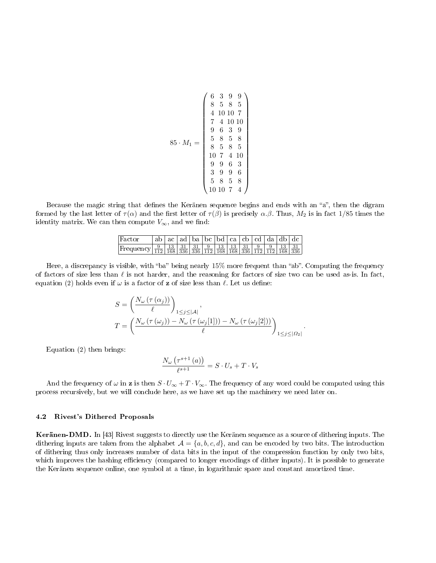$$
85 \cdot M_1 = \left(\begin{array}{cccc} 6 & 3 & 9 & 9 \\ 8 & 5 & 8 & 5 \\ 4 & 10 & 10 & 7 \\ 7 & 4 & 10 & 10 \\ 9 & 6 & 3 & 9 \\ 8 & 5 & 8 & 5 \\ 8 & 5 & 8 & 5 \\ 10 & 7 & 4 & 10 \\ 9 & 9 & 6 & 3 \\ 3 & 9 & 9 & 6 \\ 5 & 8 & 5 & 8 \\ 10 & 10 & 7 & 4 \end{array}\right)
$$

Because the magic string that defines the Keränen sequence begins and ends with an "a", then the digram formed by the last letter of  $\tau(\alpha)$  and the first letter of  $\tau(\beta)$  is precisely  $\alpha.\beta$ . Thus,  $M_2$  is in fact 1/85 times the identity matrix. We can then compute  $V_{\infty}$ , and we find:

| Factor                                                                                                                                                                                                            | $ ab $ ac   ad   ba   bc   bd   ca   cb   cd   da   db   dc |  |  |  |  |  |
|-------------------------------------------------------------------------------------------------------------------------------------------------------------------------------------------------------------------|-------------------------------------------------------------|--|--|--|--|--|
| Frequency $\frac{9}{112}$ $\frac{13}{168}$ $\frac{31}{336}$ $\frac{31}{336}$ $\frac{9}{112}$ $\frac{13}{168}$ $\frac{13}{168}$ $\frac{31}{336}$ $\frac{9}{112}$ $\frac{9}{112}$ $\frac{13}{168}$ $\frac{31}{336}$ |                                                             |  |  |  |  |  |

Here, a discrepancy is visible, with "ba" being nearly  $15\%$  more frequent than "ab". Computing the frequency of factors of size less than  $\ell$  is not harder, and the reasoning for factors of size two can be used as-is. In fact, equation (2) holds even if  $\omega$  is a factor of **z** of size less than  $\ell$ . Let us define:

$$
S = \left(\frac{N_{\omega} \left(\tau\left(\alpha_{j}\right)\right)}{\ell}\right)_{1 \leq j \leq |\mathcal{A}|},
$$
  

$$
T = \left(\frac{N_{\omega} \left(\tau\left(\omega_{j}\right)\right) - N_{\omega} \left(\tau\left(\omega_{j}[1]\right)\right) - N_{\omega} \left(\tau\left(\omega_{j}[2]\right)\right)}{\ell}\right)_{1 \leq j \leq |\Omega_{2}|}
$$

.

Equation (2) then brings:

$$
\frac{N_{\omega}\left(\tau^{s+1}\left(a\right)\right)}{\ell^{s+1}} = S \cdot U_s + T \cdot V_s
$$

And the frequency of  $\omega$  in **z** is then  $S \cdot U_{\infty} + T \cdot V_{\infty}$ . The frequency of any word could be computed using this process recursively, but we will conclude here, as we have set up the machinery we need later on.

#### 4.2 Rivest's Dithered Proposals

Keränen-DMD. In [43] Rivest suggests to directly use the Keränen sequence as a source of dithering inputs. The dithering inputs are taken from the alphabet  $\mathcal{A} = \{a, b, c, d\}$ , and can be encoded by two bits. The introduction of dithering thus only increases number of data bits in the input of the compression function by only two bits, which improves the hashing efficiency (compared to longer encodings of dither inputs). It is possible to generate the Keränen sequence online, one symbol at a time, in logarithmic space and constant amortized time.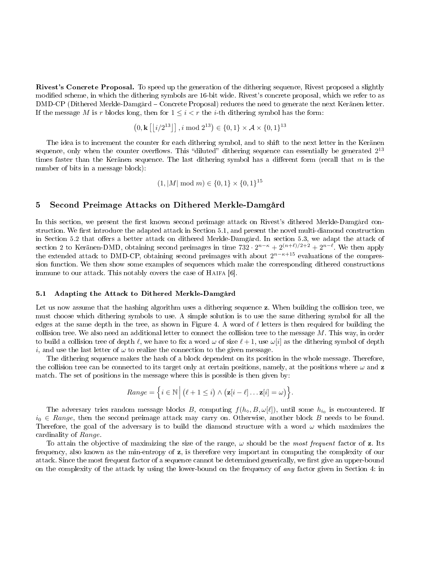Rivest's Concrete Proposal. To speed up the generation of the dithering sequence, Rivest proposed a slightly modified scheme, in which the dithering symbols are 16-bit wide. Rivest's concrete proposal, which we refer to as DMD-CP (Dithered Merkle-Damgård Concrete Proposal) reduces the need to generate the next Keränen letter. If the message M is r blocks long, then for  $1 \leq i < r$  the *i*-th dithering symbol has the form:

$$
(0, \mathbf{k} \lfloor i/2^{13} \rfloor], i \mod 2^{13}) \in \{0, 1\} \times \mathcal{A} \times \{0, 1\}^{13}
$$

The idea is to increment the counter for each dithering symbol, and to shift to the next letter in the Keränen sequence, only when the counter overflows. This "diluted" dithering sequence can essentially be generated  $2^{13}$ times faster than the Keränen sequence. The last dithering symbol has a different form (recall that  $m$  is the number of bits in a message block):

$$
(1, |M| \mod m) \in \{0, 1\} \times \{0, 1\}^{15}
$$

### 5 Second Preimage Attacks on Dithered Merkle-Damgård

In this section, we present the first known second preimage attack on Rivest's dithered Merkle-Damgård construction. We first introduce the adapted attack in Section 5.1, and present the novel multi-diamond construction in Section 5.2 that offers a better attack on dithered Merkle-Damgård. In section 5.3, we adapt the attack of section 2 to Keränen-DMD, obtaining second preimages in time  $732 \cdot 2^{n-\kappa} + 2^{(n+\ell)/2+2} + 2^{n-\ell}$ . We then apply the extended attack to DMD-CP, obtaining second preimages with about  $2^{n-\kappa+15}$  evaluations of the compression function. We then show some examples of sequences which make the corresponding dithered constructions immune to our attack. This notably covers the case of HAIFA [6].

#### 5.1 Adapting the Attack to Dithered Merkle-Damgård

Let us now assume that the hashing algorithm uses a dithering sequence **z**. When building the collision tree, we must choose which dithering symbols to use. A simple solution is to use the same dithering symbol for all the edges at the same depth in the tree, as shown in Figure 4. A word of  $\ell$  letters is then required for building the collision tree. We also need an additional letter to connect the collision tree to the message  $M$ . This way, in order to build a collision tree of depth  $\ell$ , we have to fix a word  $\omega$  of size  $\ell + 1$ , use  $\omega[i]$  as the dithering symbol of depth i, and use the last letter of  $\omega$  to realize the connection to the given message.

The dithering sequence makes the hash of a block dependent on its position in the whole message. Therefore, the collision tree can be connected to its target only at certain positions, namely, at the positions where  $\omega$  and z match. The set of positions in the message where this is possible is then given by:

Range = 
$$
\{i \in \mathbb{N} \mid (\ell + 1 \leq i) \wedge (\mathbf{z}[i - \ell] \dots \mathbf{z}[i] = \omega) \}.
$$

The adversary tries random message blocks B, computing  $f(h_\diamond, B, \omega[\ell])$ , until some  $h_{i_0}$  is encountered. If  $i_0 \in Range$ , then the second preimage attack may carry on. Otherwise, another block B needs to be found. Therefore, the goal of the adversary is to build the diamond structure with a word  $\omega$  which maximizes the cardinality of Range.

To attain the objective of maximizing the size of the range,  $\omega$  should be the most frequent factor of z. Its frequency, also known as the min-entropy of z, is therefore very important in computing the complexity of our attack. Since the most frequent factor of a sequence cannot be determined generically, we first give an upper-bound on the complexity of the attack by using the lower-bound on the frequency of any factor given in Section 4: in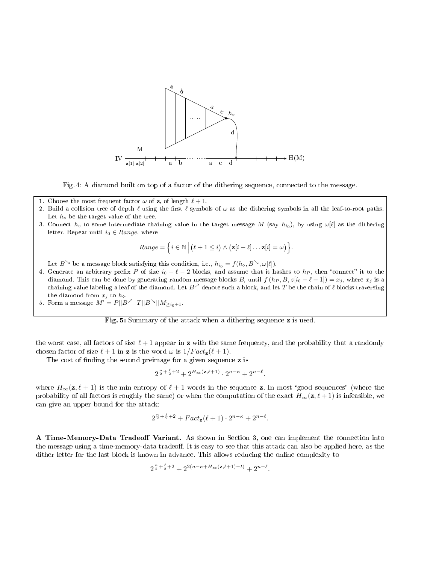

Fig. 4: A diamond built on top of a factor of the dithering sequence, connected to the message.

- 1. Choose the most frequent factor  $\omega$  of **z**, of length  $\ell + 1$ .
- 2. Build a collision tree of depth  $\ell$  using the first  $\ell$  symbols of  $\omega$  as the dithering symbols in all the leaf-to-root paths. Let  $h_{\diamond}$  be the target value of the tree.
- 3. Connect  $h_\diamond$  to some intermediate chaining value in the target message  $M$  (say  $h_{i_0}$ ), by using  $\omega[\ell]$  as the dithering letter. Repeat until  $i_0 \in Range$ , where

Range = 
$$
\{i \in \mathbb{N} \mid (\ell + 1 \leq i) \wedge (\mathbf{z}[i - \ell] \dots \mathbf{z}[i] = \omega) \}.
$$

Let  $B^{\searrow}$  be a message block satisfying this condition, i.e.,  $h_{i_0} = f(h_{\diamond}, B^{\searrow}, \omega[\ell]).$ 

- 4. Generate an arbitrary prefix P of size  $i_0 \ell 2$  blocks, and assume that it hashes to  $h_P$ , then "connect" it to the diamond. This can be done by generating random message blocks B, until  $f(h_P, B, z[i_0 - \ell - 1]) = x_j$ , where  $x_j$  is a chaining value labeling a leaf of the diamond. Let  $B^{\nearrow}$  denote such a block, and let  $T$  be the chain of  $\ell$  blocks traversing the diamond from  $x_j$  to  $h_{\diamond}$ .
- 5. Form a message  $M' = P||B^{\nearrow}||T||B^{\searrow}||M_{\geq i_0+1}$ .

Fig. 5: Summary of the attack when a dithering sequence z is used.

the worst case, all factors of size  $\ell + 1$  appear in z with the same frequency, and the probability that a randomly chosen factor of size  $\ell + 1$  in **z** is the word  $\omega$  is  $1/Fact_{\mathbf{z}}(\ell + 1)$ .

The cost of finding the second preimage for a given sequence z is

$$
2^{\frac{n}{2}+\frac{\ell}{2}+2}+2^{H_\infty(\mathbf{z},\ell+1)}\cdot 2^{n-\kappa}+2^{n-\ell}.
$$

where  $H_{\infty}(\mathbf{z}, \ell + 1)$  is the min-entropy of  $\ell + 1$  words in the sequence z. In most "good sequences" (where the probability of all factors is roughly the same) or when the computation of the exact  $H_{\infty}(z, \ell + 1)$  is infeasible, we can give an upper bound for the attack:

$$
2^{\frac{n}{2} + \frac{\ell}{2} + 2} + Fact_{\mathbf{z}}(\ell + 1) \cdot 2^{n - \kappa} + 2^{n - \ell}.
$$

A Time-Memory-Data Tradeoff Variant. As shown in Section 3, one can implement the connection into the message using a time-memory-data tradeoff. It is easy to see that this attack can also be applied here, as the dither letter for the last block is known in advance. This allows reducing the online complexity to

$$
2^{\frac{n}{2} + \frac{\ell}{2} + 2} + 2^{2(n - \kappa + H_\infty(\mathbf{z}, \ell + 1) - t)} + 2^{n - \ell}.
$$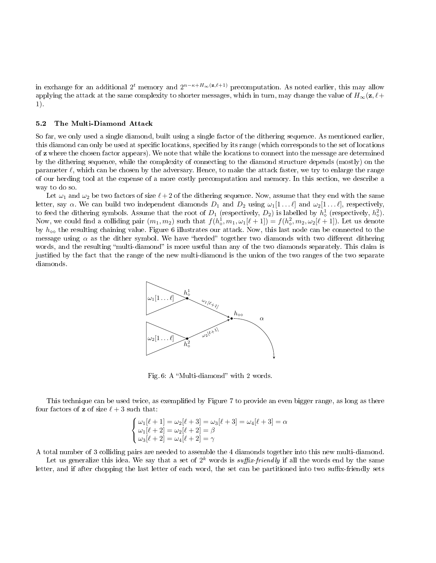in exchange for an additional  $2^t$  memory and  $2^{n-\kappa+H_\infty(\mathbf{z},\ell+1)}$  precomputation. As noted earlier, this may allow applying the attack at the same complexity to shorter messages, which in turn, may change the value of  $H_{\infty}(z, \ell +$ 1).

#### 5.2 The Multi-Diamond Attack

So far, we only used a single diamond, built using a single factor of the dithering sequence. As mentioned earlier, this diamond can only be used at specific locations, specified by its range (which corresponds to the set of locations of z where the chosen factor appears). We note that while the locations to connect into the message are determined by the dithering sequence, while the complexity of connecting to the diamond structure depends (mostly) on the parameter  $\ell$ , which can be chosen by the adversary. Hence, to make the attack faster, we try to enlarge the range of our herding tool at the expense of a more costly precomputation and memory. In this section, we describe a way to do so.

Let  $\omega_1$  and  $\omega_2$  be two factors of size  $\ell + 2$  of the dithering sequence. Now, assume that they end with the same letter, say  $\alpha$ . We can build two independent diamonds  $D_1$  and  $D_2$  using  $\omega_1[1 \dots \ell]$  and  $\omega_2[1 \dots \ell]$ , respectively, to feed the dithering symbols. Assume that the root of  $D_1$  (respectively,  $D_2$ ) is labelled by  $h^1_\diamond$  (respectively,  $h^2_\diamond$ ). Now, we could find a colliding pair  $(m_1, m_2)$  such that  $f(h^1_\diamond, m_1, \omega_1[\ell + 1]) = f(h^2_\diamond, m_2, \omega_2[\ell + 1])$ . Let us denote by  $h_{\infty}$  the resulting chaining value. Figure 6 illustrates our attack. Now, this last node can be connected to the message using  $\alpha$  as the dither symbol. We have "herded" together two diamonds with two different dithering words, and the resulting "multi-diamond" is more useful than any of the two diamonds separately. This claim is justied by the fact that the range of the new multi-diamond is the union of the two ranges of the two separate diamonds.



Fig. 6: A "Multi-diamond" with 2 words.

This technique can be used twice, as exemplified by Figure 7 to provide an even bigger range, as long as there four factors of **z** of size  $\ell + 3$  such that:

$$
\begin{cases} \omega_1[\ell+1] = \omega_2[\ell+3] = \omega_3[\ell+3] = \omega_4[\ell+3] = \alpha \\ \omega_1[\ell+2] = \omega_2[\ell+2] = \beta \\ \omega_3[\ell+2] = \omega_4[\ell+2] = \gamma \end{cases}
$$

A total number of 3 colliding pairs are needed to assemble the 4 diamonds together into this new multi-diamond.

Let us generalize this idea. We say that a set of  $2^k$  words is suffix-friendly if all the words end by the same letter, and if after chopping the last letter of each word, the set can be partitioned into two suffix-friendly sets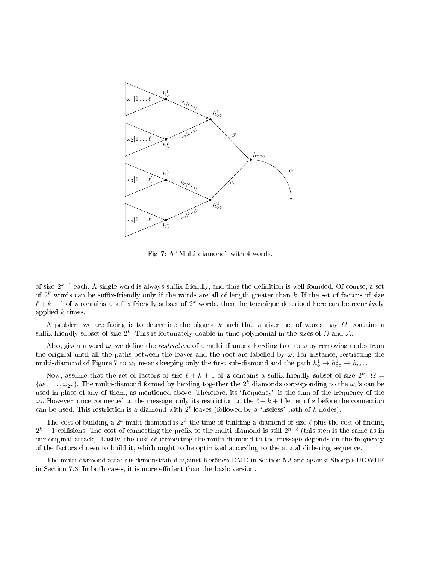

Fig. 7: A "Multi-diamond" with 4 words.

of size  $2^{k-1}$  each. A single word is always suffix-friendly, and thus the definition is well-founded. Of course, a set of  $2^k$  words can be suffix-friendly only if the words are all of length greater than k. If the set of factors of size  $\ell + k + 1$  of **z** contains a suffix-friendly subset of  $2^k$  words, then the technique described here can be recursively applied k times.

A problem we are facing is to determine the biggest k such that a given set of words, say  $\Omega$ , contains a suffix-friendly subset of size  $2^k$ . This is fortunately doable in time polynomial in the sizes of  $\varOmega$  and  $\mathcal{A}$ .

Also, given a word  $\omega$ , we define the *restriction* of a multi-diamond herding tree to  $\omega$  by removing nodes from the original until all the paths between the leaves and the root are labelled by  $\omega$ . For instance, restricting the multi-diamond of Figure 7 to  $\omega_1$  means keeping only the first sub-diamond and the path  $h^1_\diamond \to h^1_{\diamond \diamond} \to h_{\diamond \diamond \diamond}$ .

Now, assume that the set of factors of size  $\ell + k + 1$  of **z** contains a suffix-friendly subset of size  $2^k$ ,  $\Omega =$  $\{\omega_1,\ldots,\omega_{2^k}\}.$  The multi-diamond formed by herding together the  $2^k$  diamonds corresponding to the  $\omega_i$ 's can be used in place of any of them, as mentioned above. Therefore, its "frequency" is the sum of the frequency of the  $\omega_i.$  However, once connected to the message, only its restriction to the  $\ell + k + 1$  letter of  ${\bf z}$  before the connection can be used. This restriction is a diamond with  $2^{\ell}$  leaves (followed by a "useless" path of k nodes).

The cost of building a  $2^k$ -multi-diamond is  $2^k$  the time of building a diamond of size  $\ell$  plus the cost of finding  $2^k - 1$  collisions. The cost of connecting the prefix to the multi-diamond is still  $2^{n-\ell}$  (this step is the same as in our original attack). Lastly, the cost of connecting the multi-diamond to the message depends on the frequency of the factors chosen to build it, which ought to be optimized according to the actual dithering sequence.

The multi-diamond attack is demonstrated against Keränen-DMD in Section 5.3 and against Shoup's UOWHF in Section 7.3. In both cases, it is more efficient than the basic version.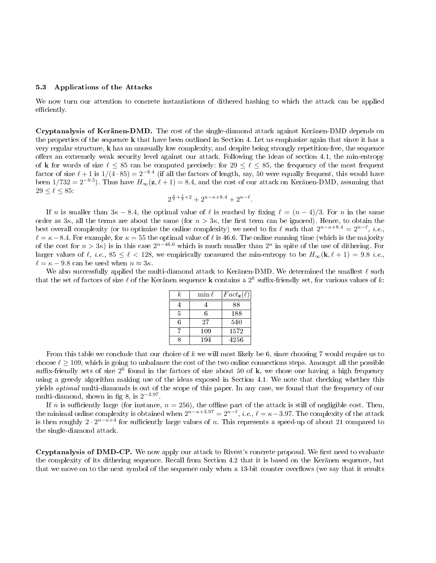#### 5.3 Applications of the Attacks

We now turn our attention to concrete instantiations of dithered hashing to which the attack can be applied efficiently.

Cryptanalysis of Keränen-DMD. The cost of the single-diamond attack against Keränen-DMD depends on the properties of the sequence k that have been outlined in Section 4. Let us emphasize again that since it has a very regular structure, k has an unusually low complexity, and despite being strongly repetition-free, the sequence offers an extremely weak security level against our attack. Following the ideas of section 4.1, the min-entropy of k for words of size  $\ell \leq 85$  can be computed precisely: for  $29 \leq \ell \leq 85$ , the frequency of the most frequent factor of size  $\ell + 1$  is  $1/(4 \cdot 85) = 2^{-8.4}$  (if all the factors of length, say, 50 were equally frequent, this would have been 1/732 = 2<sup>-9.5</sup>). Thus have  $H_{\infty}(\mathbf{z}, \ell + 1) = 8.4$ , and the cost of our attack on Keränen-DMD, assuming that  $29 \leq \ell \leq 85$ :

$$
2^{\frac{n}{2} + \frac{\ell}{2} + 2} + 2^{n - \kappa + 8.4} + 2^{n - \ell}.
$$

If n is smaller than  $3\kappa - 8.4$ , the optimal value of  $\ell$  is reached by fixing  $\ell = (n - 4)/3$ . For n in the same order as  $3\kappa$ , all the terms are about the same (for  $n > 3\kappa$ , the first term can be ignored). Hence, to obtain the best overall complexity (or to optimize the online complexity) we need to fix  $\ell$  such that  $2^{n-\kappa+8.4} = 2^{n-\ell}$ , *i.e.*,  $\ell = \kappa - 8.4$ . For example, for  $\kappa = 55$  the optimal value of  $\ell$  is 46.6. The online running time (which is the majority of the cost for  $n > 3\kappa$ ) is in this case  $2^{n-46.6}$  which is much smaller than  $2^n$  in spite of the use of dithering. For larger values of  $\ell$ , i.e.,  $85 \leq \ell < 128$ , we empirically measured the min-entropy to be  $H_{\infty}(\mathbf{k}, \ell + 1) = 9.8$  i.e.,  $\ell = \kappa - 9.8$  can be used when  $n \approx 3\kappa$ .

We also successfully applied the multi-diamond attack to Keränen-DMD. We determined the smallest  $\ell$  such that the set of factors of size  $\ell$  of the Keränen sequence  ${\bf k}$  contains a  $2^k$  suffix-friendly set, for various values of  $k$ :

| k | $\min \ell$ | $Fact_{\mathbf{z}}(\ell)$ |
|---|-------------|---------------------------|
|   |             | 88                        |
| 5 | 6           | 188                       |
| 6 | 27          | 540                       |
|   | 109         | 1572                      |
| Ω | 194         | 4256                      |

From this table we conclude that our choice of  $k$  we will most likely be 6, since choosing 7 would require us to choose  $\ell \geq 109$ , which is going to unbalance the cost of the two online connections steps. Amongst all the possible suffix-friendly sets of size  $2^6$  found in the factors of size about 50 of  $\bf k$ , we chose one having a high frequency using a greedy algorithm making use of the ideas exposed in Section 4.1. We note that checking whether this yields optimal multi-diamonds is out of the scope of this paper. In any case, we found that the frequency of our multi-diamond, shown in fig 8, is  $2^{-3.97}$ .

If n is sufficiently large (for instance,  $n = 256$ ), the offline part of the attack is still of negligible cost. Then, the minimal online complexity is obtained when  $2^{n-\kappa+3.97}=2^{n-\ell},$   $i.e.,$   $\ell=\kappa-3.97.$  The complexity of the attack is then roughly  $2 \cdot 2^{n-\kappa+4}$  for sufficiently large values of n. This represents a speed-up of about 21 compared to the single-diamond attack.

Cryptanalysis of DMD-CP. We now apply our attack to Rivest's concrete proposal. We first need to evaluate the complexity of its dithering sequence. Recall from Section 4.2 that it is based on the Keränen sequence, but that we move on to the next symbol of the sequence only when a 13-bit counter overflows (we say that it results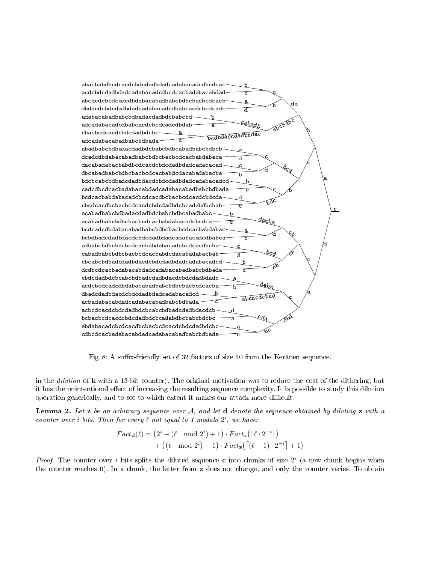

Fig. 8: A suffix-friendly set of 32 factors of size 50 from the Keränen sequence.

in the *dilution* of  $\bf{k}$  with a 13-bit counter). The original motivation was to reduce the cost of the dithering, but it has the unintentional effect of increasing the resulting sequence complexity. It is possible to study this dilution operation generically, and to see to which extent it makes our attack more difficult.

Lemma 2. Let z be an arbitrary sequence over A, and let d denote the sequence obtained by diluting z with a counter over i bits. Then for every  $\ell$  not equal to 1 modulo  $2^i$ , we have:

$$
Fact_{\mathbf{d}}(\ell) = (2^i - (\ell \mod 2^i) + 1) \cdot Fact_z([\ell \cdot 2^{-i}])
$$
  
+ ((\ell \mod 2^i) - 1) \cdot Fact\_z([\ell - 1) \cdot 2^{-i}] + 1)

*Proof.* The counter over i bits splits the diluted sequence c into chunks of size  $2^i$  (a new chunk begins when the counter reaches 0). In a chunk, the letter from z does not change, and only the counter varies. To obtain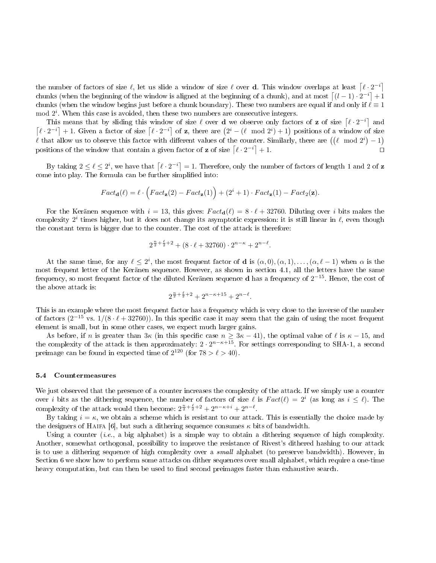the number of factors of size  $\ell$ , let us slide a window of size  $\ell$  over **d**. This window overlaps at least  $\lceil \ell \cdot 2^{-i} \rceil$ chunks (when the beginning of the window is aligned at the beginning of a chunk), and at most  $\lceil (l-1) \cdot 2^{-i} \rceil + 1$ chunks (when the window begins just before a chunk boundary). These two numbers are equal if and only if  $\ell \equiv 1$  $\mod 2^i$ . When this case is avoided, then these two numbers are consecutive integers.

This means that by sliding this window of size  $\ell$  over **d** we observe only factors of **z** of size  $\lceil \ell \cdot 2^{-i} \rceil$  and  $\lceil \ell \cdot 2^{-i} \rceil + 1$ . Given a factor of size  $\lceil \ell \cdot 2^{-i} \rceil$  of **z**, there are  $(2^i - (\ell \mod 2^i) + 1)$  positions of a window of size  $\ell$  that allow us to observe this factor with different values of the counter. Similarly, there are  $((\ell \mod 2^{i})-1)$ positions of the window that contain a given factor of **z** of size  $\left[\ell \cdot 2^{-i}\right] + 1$ .

By taking  $2 \leq \ell \leq 2^i$ , we have that  $\lceil \ell \cdot 2^{-i} \rceil = 1$ . Therefore, only the number of factors of length 1 and 2 of  ${\bf z}$ come into play. The formula can be further simplied into:

$$
Fact_{\mathbf{d}}(\ell) = \ell \cdot \left( Fact_{\mathbf{z}}(2) - Fact_{\mathbf{z}}(1) \right) + (2^i + 1) \cdot Fact_{\mathbf{z}}(1) - Fact_{2}(\mathbf{z}).
$$

For the Keränen sequence with  $i = 13$ , this gives:  $Fact_{d}(\ell) = 8 \cdot \ell + 32760$ . Diluting over i bits makes the complexity  $2^i$  times higher, but it does not change its asymptotic expression: it is still linear in  $\ell$ , even though the constant term is bigger due to the counter. The cost of the attack is therefore:

$$
2^{\frac{n}{2} + \frac{\ell}{2} + 2} + (8 \cdot \ell + 32760) \cdot 2^{n - \kappa} + 2^{n - \ell}.
$$

At the same time, for any  $\ell \leq 2^i$ , the most frequent factor of **d** is  $(\alpha, 0), (\alpha, 1), \ldots, (\alpha, \ell - 1)$  when  $\alpha$  is the most frequent letter of the Keränen sequence. However, as shown in section 4.1, all the letters have the same frequency, so most frequent factor of the diluted Keränen sequence  ${\bf d}$  has a frequency of  $2^{-15}$ . Hence, the cost of the above attack is:

$$
2^{\frac{n}{2} + \frac{\ell}{2} + 2} + 2^{n - \kappa + 15} + 2^{n - \ell}.
$$

This is an example where the most frequent factor has a frequency which is very close to the inverse of the number of factors  $(2^{-15} \text{ vs. } 1/(8 \cdot \ell + 32760))$ . In this specific case it may seem that the gain of using the most frequent element is small, but in some other cases, we expect much larger gains.

As before, if n is greater than  $3\kappa$  (in this specific case  $n \geq 3\kappa - 41$ ), the optimal value of  $\ell$  is  $\kappa - 15$ , and the complexity of the attack is then approximately:  $2 \cdot 2^{n-\kappa+15}$ . For settings corresponding to SHA-1, a second preimage can be found in expected time of  $2^{120}$  (for  $78 > \ell > 40$ ).

#### 5.4 Countermeasures

We just observed that the presence of a counter increases the complexity of the attack. If we simply use a counter over *i* bits as the dithering sequence, the number of factors of size  $\ell$  is  $Fact(\ell) = 2^i$  (as long as  $i \leq \ell$ ). The complexity of the attack would then become:  $2^{\frac{n}{2} + \frac{\ell}{2} + 2} + 2^{n-\kappa+i} + 2^{n-\ell}$ .

By taking  $i = \kappa$ , we obtain a scheme which is resistant to our attack. This is essentially the choice made by the designers of HAIFA [6], but such a dithering sequence consumes  $\kappa$  bits of bandwidth.

Using a counter (*i.e.*, a big alphabet) is a simple way to obtain a dithering sequence of high complexity. Another, somewhat orthogonal, possibility to improve the resistance of Rivest's dithered hashing to our attack is to use a dithering sequence of high complexity over a small alphabet (to preserve bandwidth). However, in Section 6 we show how to perform some attacks on dither sequences over small alphabet, which require a one-time heavy computation, but can then be used to find second preimages faster than exhaustive search.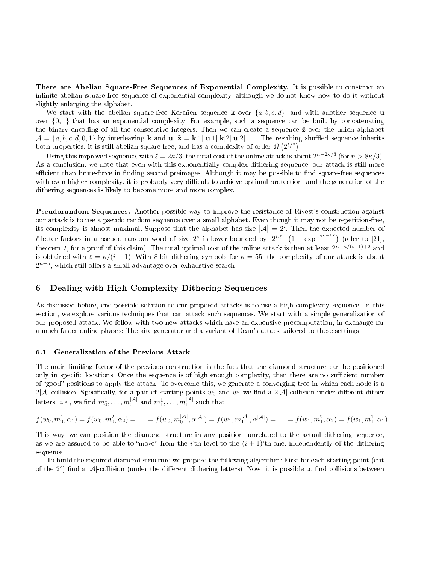There are Abelian Square-Free Sequences of Exponential Complexity. It is possible to construct an infinite abelian square-free sequence of exponential complexity, although we do not know how to do it without slightly enlarging the alphabet.

We start with the abelian square-free Keranen sequence **k** over  $\{a, b, c, d\}$ , and with another sequence **u** over  $\{0,1\}$  that has an exponential complexity. For example, such a sequence can be built by concatenating the binary encoding of all the consecutive integers. Then we can create a sequence  $\tilde{z}$  over the union alphabet  $\mathcal{A} = \{a, b, c, d, 0, 1\}$  by interleaving **k** and **u**:  $\tilde{\mathbf{z}} = \mathbf{k}[1], \mathbf{u}[1], \mathbf{k}[2], \mathbf{u}[2], \ldots$  The resulting shuffled sequence inherits both properties: it is still abelian square-free, and has a complexity of order  $\Omega$   $(2^{\ell/2})$ .

Using this improved sequence, with  $\ell = 2\kappa/3$ , the total cost of the online attack is about  $2^{n-2\kappa/3}$  (for  $n > 8\kappa/3$ ). As a conclusion, we note that even with this exponentially complex dithering sequence, our attack is still more efficient than brute-force in finding second preimages. Although it may be possible to find square-free sequences with even higher complexity, it is probably very difficult to achieve optimal protection, and the generation of the dithering sequences is likely to become more and more complex.

Pseudorandom Sequences. Another possible way to improve the resistance of Rivest's construction against our attack is to use a pseudo random sequence over a small alphabet. Even though it may not be repetition-free, its complexity is almost maximal. Suppose that the alphabet has size  $|\mathcal{A}| = 2^i$ . Then the expected number of *l*-letter factors in a pseudo random word of size  $2^{\kappa}$  is lower-bounded by:  $2^{i \cdot \ell} \cdot (1 - \exp^{-2^{\kappa - i \cdot \ell}})$  (refer to [21], theorem 2, for a proof of this claim). The total optimal cost of the online attack is then at least  $2^{n-\kappa/(i+1)+2}$  and is obtained with  $\ell = \kappa/(i + 1)$ . With 8-bit dithering symbols for  $\kappa = 55$ , the complexity of our attack is about  $2^{n-5}$ , which still offers a small advantage over exhaustive search.

# 6 Dealing with High Complexity Dithering Sequences

As discussed before, one possible solution to our proposed attacks is to use a high complexity sequence. In this section, we explore various techniques that can attack such sequences. We start with a simple generalization of our proposed attack. We follow with two new attacks which have an expensive precomputation, in exchange for a much faster online phases: The kite generator and a variant of Dean's attack tailored to these settings.

#### 6.1 Generalization of the Previous Attack

The main limiting factor of the previous construction is the fact that the diamond structure can be positioned only in specific locations. Once the sequence is of high enough complexity, then there are no sufficient number of "good" positions to apply the attack. To overcome this, we generate a converging tree in which each node is a 2|A|-collision. Specifically, for a pair of starting points  $w_0$  and  $w_1$  we find a 2|A|-collision under different dither letters, *i.e.*, we find  $m_0^1, \ldots, m_0^{|\mathcal{A}|}$  and  $m_1^1, \ldots, m_1^{|\mathcal{A}|}$  such that

$$
f(w_0, m_0^1, \alpha_1) = f(w_0, m_0^2, \alpha_2) = \ldots = f(w_0, m_0^{|A|}, \alpha^{|A|}) = f(w_1, m_1^{|A|}, \alpha^{|A|}) = \ldots = f(w_1, m_1^2, \alpha_2) = f(w_1, m_1^1, \alpha_1).
$$

This way, we can position the diamond structure in any position, unrelated to the actual dithering sequence, as we are assured to be able to "move" from the *i*'th level to the  $(i + 1)$ 'th one, independently of the dithering sequence.

To build the required diamond structure we propose the following algorithm: First for each starting point (out of the  $2^{\ell}$ ) find a |A|-collision (under the different dithering letters). Now, it is possible to find collisions between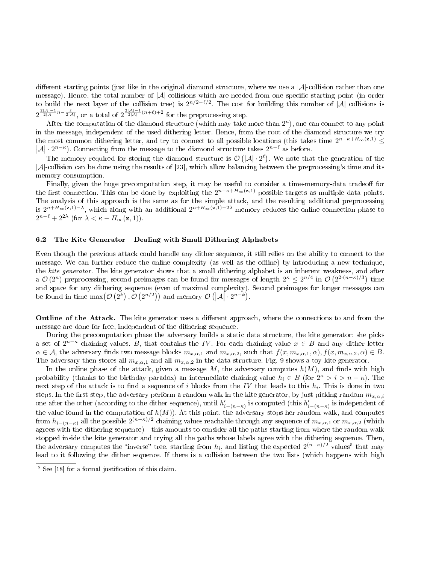different starting points (just like in the original diamond structure, where we use a  $|\mathcal{A}|$ -collision rather than one message). Hence, the total number of  $|\mathcal{A}|$ -collisions which are needed from one specific starting point (in order to build the next layer of the collision tree) is  $2^{n/2-\ell/2}$ . The cost for building this number of  $|\mathcal{A}|$  collisions is  $2^{\frac{2|\mathcal{A}|-1}{2|\mathcal{A}|}n-\frac{\ell}{2|\mathcal{A}|}}$ , or a total of  $2^{\frac{2|\mathcal{A}|-1}{2|\mathcal{A}|}(n+\ell)+2}$  for the preprocessing step.

After the computation of the diamond structure (which may take more than  $2<sup>n</sup>$ ), one can connect to any point in the message, independent of the used dithering letter. Hence, from the root of the diamond structure we try the most common dithering letter, and try to connect to all possible locations (this takes time  $2^{n-\kappa+H_{\infty}(\mathbf{z},1)} \leq$  $|\mathcal{A}| \cdot 2^{n-\kappa}$ ). Connecting from the message to the diamond structure takes  $2^{n-\ell}$  as before.

The memory required for storing the diamond structure is  $\mathcal{O}(|\mathcal{A}|\cdot 2^{\ell})$ . We note that the generation of the  $|\mathcal{A}|$ -collision can be done using the results of [23], which allow balancing between the preprocessing's time and its memory consumption.

Finally, given the huge precomputation step, it may be useful to consider a time-memory-data tradeoff for the first connection. This can be done by exploiting the  $2^{n-\kappa+H_{\infty}(\mathbf{z},1)}$  possible targets as multiple data points. The analysis of this approach is the same as for the simple attack, and the resulting additional preprocessing is  $2^{n+H_\infty(\mathbf{z},1)-\lambda}$ , which along with an additional  $2^{n+H_\infty(\mathbf{z},1)-2\lambda}$  memory reduces the online connection phase to  $2^{n-\ell} + 2^{2\lambda}$  (for  $\lambda < \kappa - H_{\infty}(\mathbf{z}, 1)$ ).

#### 6.2 The Kite Generator—Dealing with Small Dithering Alphabets

Even though the previous attack could handle any dither sequence, it still relies on the ability to connect to the message. We can further reduce the online complexity (as well as the offline) by introducing a new technique, the kite generator. The kite generator shows that a small dithering alphabet is an inherent weakness, and after a  $\mathcal{O}(2^n)$  preprocessing, second preimages can be found for messages of length  $2^{\kappa} \leq 2^{n/4}$  in  $\mathcal{O}(2^{2 \cdot (n-\kappa)/3})$  time and space for any dithering sequence (even of maximal complexity). Second preimages for longer messages can be found in time  $\max(\mathcal{O}(2^k), \mathcal{O}(2^{n/2}))$  and memory  $\mathcal{O}(|\mathcal{A}| \cdot 2^{n-k})$ .

**Outline of the Attack.** The kite generator uses a different approach, where the connections to and from the message are done for free, independent of the dithering sequence.

During the precomputation phase the adversary builds a static data structure, the kite generator: she picks a set of  $2^{n-k}$  chaining values, B, that contains the IV. For each chaining value  $x \in B$  and any dither letter  $\alpha \in \mathcal{A}$ , the adversary finds two message blocks  $m_{x,\alpha,1}$  and  $m_{x,\alpha,2}$ , such that  $f(x, m_{x,\alpha,1}, \alpha), f(x, m_{x,\alpha,2}, \alpha) \in B$ . The adversary then stores all  $m_{x,\alpha,1}$  and all  $m_{x,\alpha,2}$  in the data structure. Fig. 9 shows a toy kite generator.

In the online phase of the attack, given a message  $M$ , the adversary computes  $h(M)$ , and finds with high probability (thanks to the birthday paradox) an intermediate chaining value  $h_i \in B$  (for  $2^k > i > n - \kappa$ ). The next step of the attack is to find a sequence of  $i$  blocks from the  $IV$  that leads to this  $h_i$ . This is done in two steps. In the first step, the adversary perform a random walk in the kite generator, by just picking random  $m_{x,\alpha,i}$ one after the other (according to the dither sequence), until  $h'_{i-(n-\kappa)}$  is computed (this  $h'_{i-(n-\kappa)}$  is independent of the value found in the computation of  $h(M)$ ). At this point, the adversary stops her random walk, and computes from  $h_{i-(n-\kappa)}$  all the possible  $2^{(n-\kappa)/2}$  chaining values reachable through any sequence of  $m_{x,\alpha,1}$  or  $m_{x,\alpha,2}$  (which agrees with the dithering sequence)—this amounts to consider all the paths starting from where the random walk stopped inside the kite generator and trying all the paths whose labels agree with the dithering sequence. Then, the adversary computes the "inverse" tree, starting from  $h_i$ , and listing the expected  $2^{(n-\kappa)/2}$  values<sup>5</sup> that may lead to it following the dither sequence. If there is a collision between the two lists (which happens with high

 $\frac{5}{5}$  See [18] for a formal justification of this claim.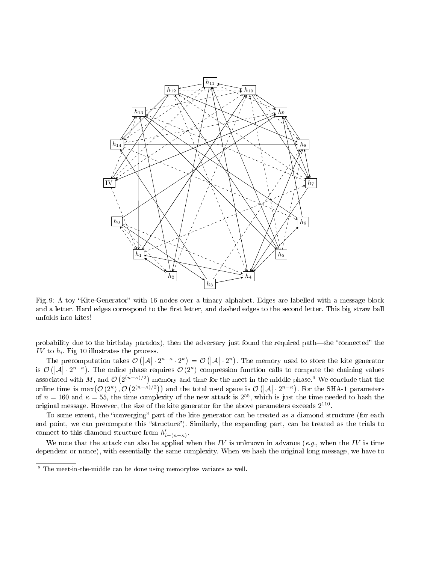

Fig. 9: A toy "Kite-Generator" with 16 nodes over a binary alphabet. Edges are labelled with a message block and a letter. Hard edges correspond to the first letter, and dashed edges to the second letter. This big straw ball unfolds into kites!

probability due to the birthday paradox), then the adversary just found the required path—she "connected" the IV to  $h_i$ . Fig 10 illustrates the process.

The precomputation takes  $\mathcal{O}(|\mathcal{A}| \cdot 2^{n-\kappa} \cdot 2^{\kappa}) = \mathcal{O}(|\mathcal{A}| \cdot 2^n)$ . The memory used to store the kite generator is  $\mathcal{O}(|\mathcal{A}| \cdot 2^{n-\kappa})$ . The online phase requires  $\mathcal{O}(2^{\kappa})$  compression function calls to compute the chaining values  $\vert$ associated with M, and  $\mathcal{O}(2^{(n-\kappa)/2})$  memory and time for the meet-in-the-middle phase.<sup>6</sup> We conclude that the online time is  $\max(\mathcal{O}(2^{\kappa}), \mathcal{O}(2^{(n-\kappa)/2}))$  and the total used space is  $\mathcal{O}(|\mathcal{A}| \cdot 2^{n-\kappa})$ . For the SHA-1 parameters of  $n = 160$  and  $\kappa = 55$ , the time complexity of the new attack is  $2^{55}$ , which is just the time needed to hash the original message. However, the size of the kite generator for the above parameters exceeds  $2^{110}$ .

To some extent, the "converging" part of the kite generator can be treated as a diamond structure (for each end point, we can precompute this "structure"). Similarly, the expanding part, can be treated as the trials to connect to this diamond structure from  $h'_{i-(n-\kappa)}$ .

We note that the attack can also be applied when the IV is unknown in advance (e.g., when the IV is time dependent or nonce), with essentially the same complexity. When we hash the original long message, we have to

 $6$  The meet-in-the-middle can be done using memoryless variants as well.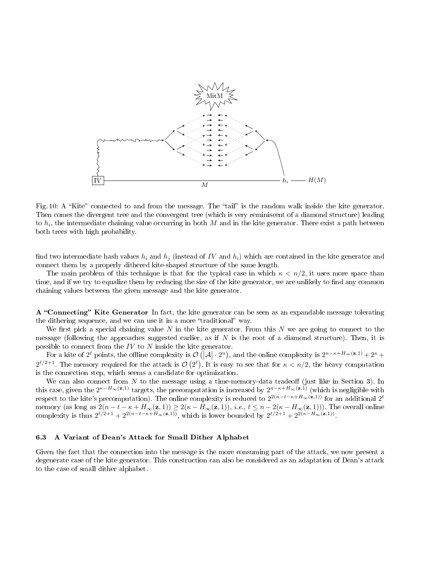

Fig. 10: A "Kite" connected to and from the message. The "tail" is the random walk inside the kite generator. Then comes the divergent tree and the convergent tree (which is very reminiscent of a diamond structure) leading to  $h_i$ , the intermediate chaining value occurring in both  $M$  and in the kite generator. There exist a path between both trees with high probability.

find two intermediate hash values  $h_i$  and  $h_j$  (instead of IV and  $h_i$ ) which are contained in the kite generator and connect them by a properly dithered kite-shaped structure of the same length.

The main problem of this technique is that for the typical case in which  $\kappa < n/2$ , it uses more space than time, and if we try to equalize them by reducing the size of the kite generator, we are unlikely to find any common chaining values between the given message and the kite generator.

A "Connecting" Kite Generator In fact, the kite generator can be seen as an expandable message tolerating the dithering sequence, and we can use it in a more "traditional" way.

We first pick a special chaining value N in the kite generator. From this N we are going to connect to the message (following the approaches suggested earlier, as if  $N$  is the root of a diamond structure). Then, it is possible to connect from the  $IV$  to  $N$  inside the kite generator.

For a kite of  $2^{\ell}$  points, the offline complexity is  $\mathcal{O}(|\mathcal{A}| \cdot 2^n)$ , and the online complexity is  $2^{n-\kappa+H_{\infty}(\mathbf{z},1)} + 2^{\kappa} +$  $2^{\ell/2+1}$ . The memory required for the attack is  $\mathcal{O}(2^{\ell})$ . It is easy to see that for  $\kappa < n/2$ , the heavy computation is the connection step, which seems a candidate for optimization.

We can also connect from  $N$  to the message using a time-memory-data tradeoff (just like in Section 3). In this case, given the  $2^{\kappa-H_\infty(\mathbf{z},1)}$  targets, the precomputation is increased by  $2^{n-\kappa+H_\infty(\mathbf{z},1)}$  (which is negligible with respect to the kite's precomputation). The online complexity is reduced to  $2^{2(n-t-\kappa+H_\infty({\bf z},1))}$  for an additional  $2^t$ memory (as long as  $2(n-t-\kappa+H_\infty(\mathbf{z},1))\geq 2(\kappa-H_\infty(\mathbf{z},1)),\ i.e.,\ t\leq n-2(\kappa-H_\infty(\mathbf{z},1))).$  The overall online complexity is thus  $2^{\ell/2+1} + 2^{2(n-t-\kappa)+H_{\infty}(\mathbf{z},1))}$ , which is lower bounded by  $2^{\ell/2+1} + 2^{2(\kappa-H_{\infty}(\mathbf{z},1))}$ .

### 6.3 A Variant of Dean's Attack for Small Dither Alphabet

Given the fact that the connection into the message is the more consuming part of the attack, we now present a degenerate case of the kite generator. This construction can also be considered as an adaptation of Dean's attack to the case of small dither alphabet.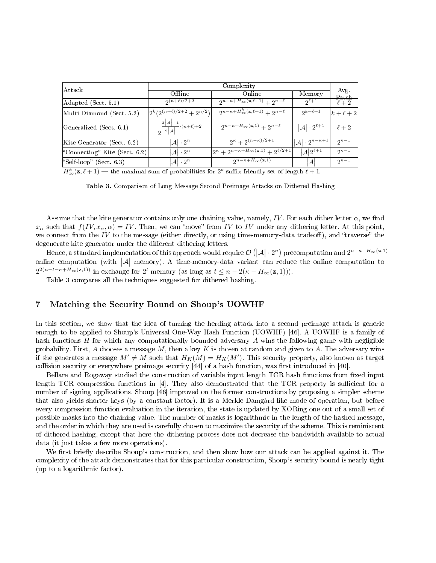| Attack                        | Complexity                                               |                                                                     |                                      |                |  |  |
|-------------------------------|----------------------------------------------------------|---------------------------------------------------------------------|--------------------------------------|----------------|--|--|
|                               | Offline                                                  | Online                                                              | Memory                               | Avg.<br>Patch  |  |  |
| Adapted (Sect. 5.1)           | $2(n+\ell)/2+2$                                          | $2^{n-\kappa+H_{\infty}(\mathbf{z},\ell+1)}+2^{n-\ell}$             | $2^{\ell+1}$                         | $\ell+2$       |  |  |
| Multi-Diamond (Sect. 5.2)     | $2^{k}(2^{(n+\ell)/2+2}+2^{n/2})$                        | $2^{n-\kappa+H_\infty^k(\mathbf{z},\ell+1)}+2^{n-\ell}$             | $2^{k+\ell+1}$                       | $k+\ell+2$     |  |  |
| Generalized (Sect. 6.1)       | $\frac{2 \mathcal{A} -1}{2 \mathcal{A} }\cdot(n+\ell)+2$ | $2^{n-\kappa+H_{\infty}(\mathbf{z},1)}+2^{n-\ell}$                  | $ \mathcal{A} \cdot 2^{\ell+1}$      | $\ell+2$       |  |  |
| Kite Generator (Sect. 6.2)    | $ A  \cdot 2^n$                                          | $2^{\kappa}+2^{(n-\kappa)/2+1}$                                     | $ \mathcal{A}  \cdot 2^{n-\kappa+1}$ | $2\kappa-1$    |  |  |
| "Connecting" Kite (Sect. 6.2) | $\mathcal{A} \cdot 2^n$                                  | $2^{\kappa} + 2^{n-\kappa+H_{\infty}(\mathbf{z},1)} + 2^{\ell/2+1}$ | $ \mathcal{A} 2^{\ell+1}$            | $2^{\kappa-1}$ |  |  |
| "Self-loop" (Sect. $6.3$ )    | $\mathcal{A} \cdot 2^n$                                  | $2^{n-\kappa+H_{\infty}(\mathbf{z},1)}$                             | A                                    | $2\kappa-1$    |  |  |

 $H^k_{\infty}(\mathbf{z}, \ell + 1)$  — the maximal sum of probabilities for  $2^k$  suffix-friendly set of length  $\ell + 1$ .

Table 3. Comparison of Long Message Second Preimage Attacks on Dithered Hashing

Assume that the kite generator contains only one chaining value, namely, IV. For each dither letter  $\alpha$ , we find  $x_{\alpha}$  such that  $f(IV, x_{\alpha}, \alpha) = IV$ . Then, we can "move" from IV to IV under any dithering letter. At this point, we connect from the IV to the message (either directly, or using time-memory-data tradeoff), and "traverse" the degenerate kite generator under the different dithering letters.

Hence, a standard implementation of this approach would require  $\mathcal{O}(|\mathcal{A}|\cdot 2^n)$  precomputation and  $2^{n-\kappa+H_\infty(\mathbf{z},1)}$ online computation (with  $|\mathcal{A}|$  memory). A time-memory-data variant can reduce the online computation to  $2^{2(n-t-\kappa+H_{\infty}(\mathbf{z},1))}$  in exchange for  $2^t$  memory (as long as  $t \leq n-2(\kappa-H_{\infty}(\mathbf{z},1))).$ 

Table 3 compares all the techniques suggested for dithered hashing.

# 7 Matching the Security Bound on Shoup's UOWHF

In this section, we show that the idea of turning the herding attack into a second preimage attack is generic enough to be applied to Shoup's Universal One-Way Hash Function (UOWHF) [46]. A UOWHF is a family of hash functions  $H$  for which any computationally bounded adversary  $A$  wins the following game with negligible probability. First, A chooses a message  $M$ , then a key K is chosen at random and given to A. The adversary wins if she generates a message  $M' \neq M$  such that  $H_K(M) = H_K(M')$ . This security property, also known as target collision security or everywhere preimage security  $[44]$  of a hash function, was first introduced in  $[40]$ .

Bellare and Rogaway studied the construction of variable input length TCR hash functions from fixed input length TCR compression functions in  $[4]$ . They also demonstrated that the TCR property is sufficient for a number of signing applications. Shoup [46] improved on the former constructions by proposing a simpler scheme that also yields shorter keys (by a constant factor). It is a Merkle-Damgård-like mode of operation, but before every compression function evaluation in the iteration, the state is updated by XORing one out of a small set of possible masks into the chaining value. The number of masks is logarithmic in the length of the hashed message, and the order in which they are used is carefully chosen to maximize the security of the scheme. This is reminiscent of dithered hashing, except that here the dithering process does not decrease the bandwidth available to actual data (it just takes a few more operations).

We first briefly describe Shoup's construction, and then show how our attack can be applied against it. The complexity of the attack demonstrates that for this particular construction, Shoup's security bound is nearly tight (up to a logarithmic factor).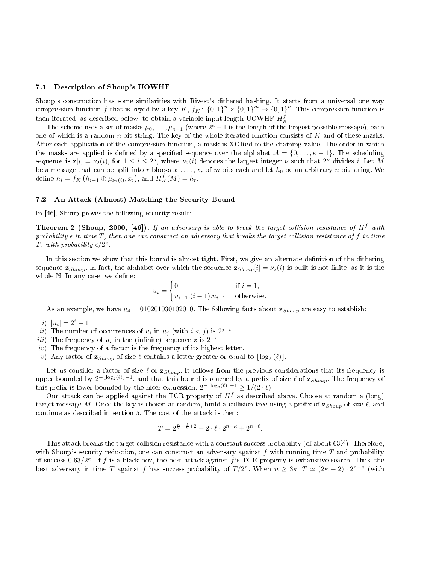#### 7.1 Description of Shoup's UOWHF

Shoup's construction has some similarities with Rivest's dithered hashing. It starts from a universal one way compression function f that is keyed by a key K,  $f_K$ :  $\{0,1\}^n \times \{0,1\}^m \to \{0,1\}^n$ . This compression function is then iterated, as described below, to obtain a variable input length UOWHF  $H_K^f$ .

The scheme uses a set of masks  $\mu_0, \ldots, \mu_{\kappa-1}$  (where  $2^{\kappa}-1$  is the length of the longest possible message), each one of which is a random  $n$ -bit string. The key of the whole iterated function consists of K and of these masks. After each application of the compression function, a mask is XORed to the chaining value. The order in which the masks are applied is defined by a specified sequence over the alphabet  $\mathcal{A} = \{0, \ldots, \kappa - 1\}$ . The scheduling sequence is  $z[i] = \nu_2(i)$ , for  $1 \le i \le 2^{\kappa}$ , where  $\nu_2(i)$  denotes the largest integer  $\nu$  such that  $2^{\nu}$  divides i. Let M be a message that can be split into r blocks  $x_1, \ldots, x_r$  of m bits each and let  $h_0$  be an arbitrary n-bit string. We define  $h_i = f_K(h_{i-1} \oplus \mu_{\nu_2(i)}, x_i)$ , and  $H^f_K(M) = h_r$ .

#### 7.2 An Attack (Almost) Matching the Security Bound

In [46], Shoup proves the following security result:

**Theorem 2 (Shoup, 2000, [46]).** If an adversary is able to break the target collision resistance of  $H^f$  with probability  $\epsilon$  in time T, then one can construct an adversary that breaks the target collision resistance of f in time T, with probability  $\epsilon/2^{\kappa}$ .

In this section we show that this bound is almost tight. First, we give an alternate definition of the dithering sequence  $\mathbf{z}_{Show}$ . In fact, the alphabet over which the sequence  $\mathbf{z}_{Showp}[i] = \nu_2(i)$  is built is not finite, as it is the whole  $N$ . In any case, we define:

$$
u_i = \begin{cases} 0 & \text{if } i = 1, \\ u_{i-1} \cdot (i-1) \cdot u_{i-1} & \text{otherwise.} \end{cases}
$$

As an example, we have  $u_4 = 010201030102010$ . The following facts about  $\mathbf{z}_{Show}$  are easy to establish:

i)  $|u_i| = 2^i - 1$ 

- ii) The number of occurrences of  $u_i$  in  $u_j$  (with  $i < j$ ) is  $2^{j-i}$ .
- iii) The frequency of  $u_i$  in the (infinite) sequence **z** is  $2^{-i}$ .
- $iv)$  The frequency of a factor is the frequency of its highest letter.
- v) Any factor of  $\mathbf{z}_{Show}$  of size  $\ell$  contains a letter greater or equal to  $\lfloor \log_2(\ell) \rfloor$ .

Let us consider a factor of size  $\ell$  of  $\mathbf{z}_{Show}$ . It follows from the previous considerations that its frequency is upper-bounded by  $2^{-\lfloor \log_2(\ell) \rfloor -1},$  and that this bound is reached by a prefix of size  $\ell$  of  $\mathbf{z}_{Showp}$ . The frequency of this prefix is lower-bounded by the nicer expression:  $2^{-\lfloor \log_2(\ell) \rfloor - 1} \ge 1/(2 \cdot \ell)$ .

Our attack can be applied against the TCR property of  $H<sup>f</sup>$  as described above. Choose at random a (long) target message M. Once the key is chosen at random, build a collision tree using a prefix of  $\mathbf{z}_{Show}$  of size  $\ell$ , and continue as described in section 5. The cost of the attack is then:

$$
T = 2^{\frac{n}{2} + \frac{\ell}{2} + 2} + 2 \cdot \ell \cdot 2^{n - \kappa} + 2^{n - \ell}.
$$

This attack breaks the target collision resistance with a constant success probability (of about 63%). Therefore, with Shoup's security reduction, one can construct an adversary against f with running time  $T$  and probability of success  $0.63/2^{\kappa}$ . If f is a black box, the best attack against f's TCR property is exhaustive search. Thus, the best adversary in time T against f has success probability of  $T/2^n$ . When  $n \geq 3\kappa$ ,  $T \simeq (2\kappa + 2) \cdot 2^{n-\kappa}$  (with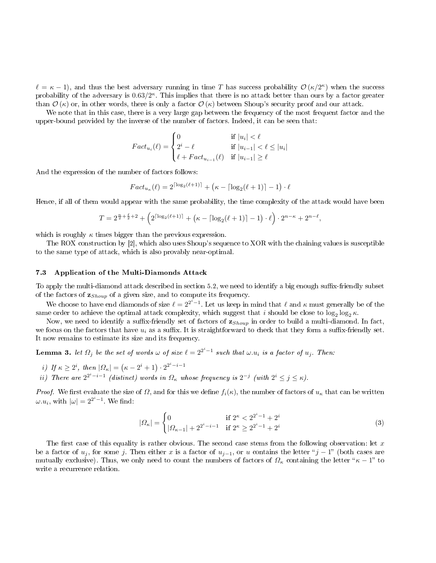$\ell = \kappa - 1$ , and thus the best adversary running in time T has success probability  $\mathcal{O}(\kappa/2^{\kappa})$  when the success probability of the adversary is  $0.63/2^{\kappa}$ . This implies that there is no attack better than ours by a factor greater than  $\mathcal{O}(\kappa)$  or, in other words, there is only a factor  $\mathcal{O}(\kappa)$  between Shoup's security proof and our attack.

We note that in this case, there is a very large gap between the frequency of the most frequent factor and the upper-bound provided by the inverse of the number of factors. Indeed, it can be seen that:

$$
Fact_{u_i}(\ell) = \begin{cases} 0 & \text{if } |u_i| < \ell \\ 2^i - \ell & \text{if } |u_{i-1}| < \ell \le |u_i| \\ \ell + Fact_{u_{i-1}}(\ell) & \text{if } |u_{i-1}| \ge \ell \end{cases}
$$

And the expression of the number of factors follows:

$$
Fact_{u_{\kappa}}(\ell) = 2^{\lceil \log_2(\ell+1) \rceil} + (\kappa - \lceil \log_2(\ell+1) \rceil - 1) \cdot \ell
$$

Hence, if all of them would appear with the same probability, the time complexity of the attack would have been

$$
T = 2^{\frac{n}{2} + \frac{\ell}{2} + 2} + \left(2^{\lceil \log_2(\ell + 1) \rceil} + \left(\kappa - \lceil \log_2(\ell + 1) \rceil - 1\right) \cdot \ell\right) \cdot 2^{n - \kappa} + 2^{n - \ell},
$$

which is roughly  $\kappa$  times bigger than the previous expression.

The ROX construction by [2], which also uses Shoup's sequence to XOR with the chaining values is susceptible to the same type of attack, which is also provably near-optimal.

#### 7.3 Application of the Multi-Diamonds Attack

To apply the multi-diamond attack described in section 5.2, we need to identify a big enough suffix-friendly subset of the factors of  $\mathbf{z}_{Show}$  of a given size, and to compute its frequency.

We choose to have end diamonds of size  $\ell = 2^{2^i-1}$ . Let us keep in mind that  $\ell$  and  $\kappa$  must generally be of the same order to achieve the optimal attack complexity, which suggest that  $i$  should be close to  $\log_2 \log_2 \kappa$ .

Now, we need to identify a suffix-friendly set of factors of  $\mathbf{z}_{Show}$  in order to build a multi-diamond. In fact, we focus on the factors that have  $u_i$  as a suffix. It is straightforward to check that they form a suffix-friendly set. It now remains to estimate its size and its frequency.

**Lemma 3.** let  $\Omega_j$  be the set of words  $\omega$  of size  $\ell = 2^{2^i-1}$  such that  $\omega.u_i$  is a factor of  $u_j$ . Then:

- i) If  $\kappa \geq 2^i$ , then  $|\Omega_{\kappa}| = (\kappa 2^i + 1) \cdot 2^{2^i i 1}$
- ii) There are  $2^{2^i-i-1}$  (distinct) words in  $\Omega_{\kappa}$  whose frequency is  $2^{-j}$  (with  $2^i \leq j \leq \kappa$ ).

*Proof.* We first evaluate the size of  $\Omega$ , and for this we define  $f_i(\kappa)$ , the number of factors of  $u_{\kappa}$  that can be written  $\omega.u_i$ , with  $|\omega|=2^{2^i-1}$ . We find:

$$
|\Omega_{\kappa}| = \begin{cases} 0 & \text{if } 2^{\kappa} < 2^{2^i - 1} + 2^i \\ |\Omega_{\kappa - 1}| + 2^{2^i - i - 1} & \text{if } 2^{\kappa} \ge 2^{2^i - 1} + 2^i \end{cases}
$$
(3)

The first case of this equality is rather obvious. The second case stems from the following observation: let  $x$ be a factor of  $u_j$ , for some j. Then either x is a factor of  $u_{j-1}$ , or u contains the letter "j – 1" (both cases are mutually exclusive). Thus, we only need to count the numbers of factors of  $\Omega_{\kappa}$  containing the letter " $\kappa - 1$ " to write a recurrence relation.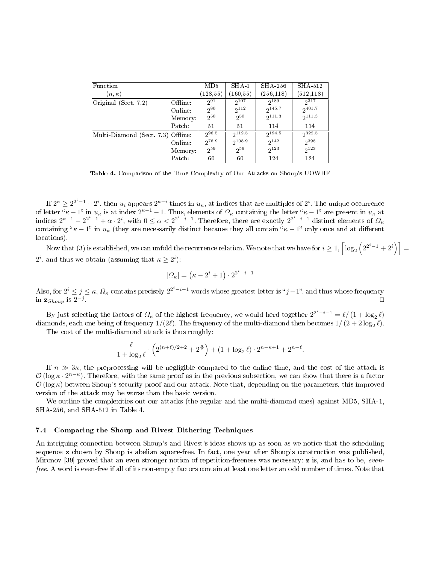| Function                           |          | MD5        | $SHA-1$     | SHA 256     | SHA 512     |
|------------------------------------|----------|------------|-------------|-------------|-------------|
| $(n,\kappa)$                       |          | (128, 55)  | (160, 55)   | (256, 118)  | (512, 118)  |
| Original (Sect. 7.2)               | Offline: | $2^{91}$   | $2^{107}$   | $2^{189}$   | $2^{317}$   |
|                                    | Online:  | $2^{80}$   | $2^{112}$   | $2^{145.7}$ | $2^{401.7}$ |
|                                    | Memory:  | $2^{50}$   | $2^{50}$    | $2^{111.3}$ | $2^{111.3}$ |
|                                    | Patch:   | 51         | 51          | 114         | 114         |
| Multi-Diamond (Sect. 7.3) Offline: |          | 296.5      | $2^{112.5}$ | $2^{194.5}$ | $2^{322.5}$ |
|                                    | Online:  | $2^{76.9}$ | $2^{108.9}$ | $2^{142}$   | 2398        |
|                                    | Memory:  | $2^{59}$   | $2^{59}$    | $2^{123}$   | $2^{123}$   |
|                                    | Patch:   | 60         | 60          | 124         | 124         |

Table 4. Comparison of the Time Complexity of Our Attacks on Shoup's UOWHF

If  $2^{\kappa} \geq 2^{2^i-1}+2^i$ , then  $u_i$  appears  $2^{\kappa-i}$  times in  $u_\kappa$ , at indices that are multiples of  $2^i$ . The unique occurrence of letter " $\kappa - 1$ " in  $u_{\kappa}$  is at index  $2^{\kappa - 1} - 1$ . Thus, elements of  $\Omega_{\kappa}$  containing the letter " $\kappa - 1$ " are present in  $u_{\kappa}$  at indices  $2^{\kappa-1} - 2^{2^i-1} + \alpha \cdot 2^i$ , with  $0 \le \alpha < 2^{2^i-i-1}$ . Therefore, there are exactly  $2^{2^i-i-1}$  distinct elements of  $\Omega_{\kappa}$ containing " $\kappa - 1$ " in  $u_{\kappa}$  (they are necessarily distinct because they all contain " $\kappa - 1$ " only once and at different locations).

Now that (3) is established, we can unfold the recurrence relation. We note that we have for  $i\geq 1, \left\lceil \log_2\left(2^{2^i-1}+2^i\right)\right\rceil=1$  $2^i$ , and thus we obtain (assuming that  $\kappa \geq 2^i$ ):

$$
|\Omega_{\kappa}| = (\kappa - 2^{i} + 1) \cdot 2^{2^{i} - i - 1}
$$

Also, for  $2^i \leq j \leq \kappa$ ,  $\Omega_\kappa$  contains precisely  $2^{2^i-i-1}$  words whose greatest letter is " $j-1$ ", and thus whose frequency in  $\mathbf{z}_{Shoup}$  is  $2^{-j}$ . utilization of the contract of the contract of the contract of the contract of the contract of the contract o

By just selecting the factors of  $\Omega_\kappa$  of the highest frequency, we would herd together  $2^{2^i-i-1} = \ell/(1+\log_2\ell)$ diamonds, each one being of frequency  $1/(2\ell)$ . The frequency of the multi-diamond then becomes  $1/\left(2+2\log_2\ell\right)$ .

The cost of the multi-diamond attack is thus roughly:

$$
\frac{\ell}{1 + \log_2 \ell} \cdot \left( 2^{(n+\ell)/2 + 2} + 2^{\frac{n}{2}} \right) + (1 + \log_2 \ell) \cdot 2^{n - \kappa + 1} + 2^{n - \ell}
$$

.

If  $n \gg 3\kappa$ , the preprocessing will be negligible compared to the online time, and the cost of the attack is  $\mathcal{O}(\log \kappa \cdot 2^{n-\kappa})$ . Therefore, with the same proof as in the previous subsection, we can show that there is a factor  $\mathcal{O}(\log \kappa)$  between Shoup's security proof and our attack. Note that, depending on the parameters, this improved version of the attack may be worse than the basic version.

We outline the complexities out our attacks (the regular and the multi-diamond ones) against MD5, SHA-1, SHA-256, and SHA-512 in Table 4.

#### 7.4 Comparing the Shoup and Rivest Dithering Techniques

An intriguing connection between Shoup's and Rivest's ideas shows up as soon as we notice that the scheduling sequence z chosen by Shoup is abelian square-free. In fact, one year after Shoup's construction was published, Mironov [39] proved that an even stronger notion of repetition-freeness was necessary: **z** is, and has to be, *even*free. A word is even-free if all of its non-empty factors contain at least one letter an odd number of times. Note that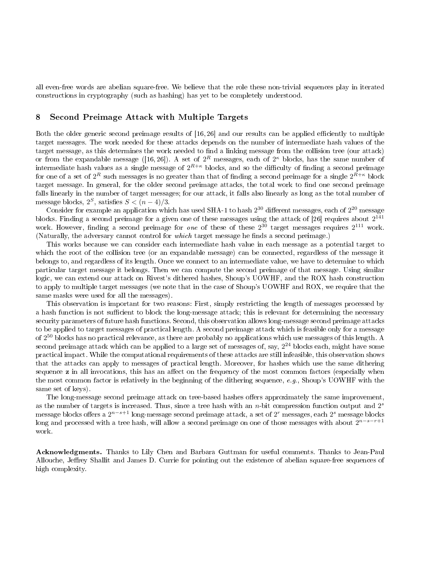all even-free words are abelian square-free. We believe that the role these non-trivial sequences play in iterated constructions in cryptography (such as hashing) has yet to be completely understood.

# 8 Second Preimage Attack with Multiple Targets

Both the older generic second preimage results of  $[16, 26]$  and our results can be applied efficiently to multiple target messages. The work needed for these attacks depends on the number of intermediate hash values of the target message, as this determines the work needed to find a linking message from the collision tree (our attack) or from the expandable message ([16,26]). A set of  $2^R$  messages, each of  $2^{\kappa}$  blocks, has the same number of intermediate hash values as a single message of  $2^{R+\kappa}$  blocks, and so the difficulty of finding a second preimage for one of a set of  $2^R$  such messages is no greater than that of finding a second preimage for a single  $2^{R+\kappa}$  block target message. In general, for the older second preimage attacks, the total work to find one second preimage falls linearly in the number of target messages; for our attack, it falls also linearly as long as the total number of message blocks,  $2^S$ , satisfies  $S < (n-4)/3$ .

Consider for example an application which has used SHA-1 to hash  $2^{30}$  different messages, each of  $2^{20}$  message blocks. Finding a second preimage for a given one of these messages using the attack of [26] requires about  $2^{141}$ work. However, finding a second preimage for *one* of these of these  $2^{30}$  target messages requires  $2^{111}$  work. (Naturally, the adversary cannot control for *which* target message he finds a second preimage.)

This works because we can consider each intermediate hash value in each message as a potential target to which the root of the collision tree (or an expandable message) can be connected, regardless of the message it belongs to, and regardless of its length. Once we connect to an intermediate value, we have to determine to which particular target message it belongs. Then we can compute the second preimage of that message. Using similar logic, we can extend our attack on Rivest's dithered hashes, Shoup's UOWHF, and the ROX hash construction to apply to multiple target messages (we note that in the case of Shoup's UOWHF and ROX, we require that the same masks were used for all the messages).

This observation is important for two reasons: First, simply restricting the length of messages processed by a hash function is not sufficient to block the long-message attack; this is relevant for determining the necessary security parameters of future hash functions. Second, this observation allows long-message second preimage attacks to be applied to target messages of practical length. A second preimage attack which is feasible only for a message of 2 <sup>50</sup> blocks has no practical relevance, as there are probably no applications which use messages of this length. A second preimage attack which can be applied to a large set of messages of, say,  $2^{24}$  blocks each, might have some practical impact. While the computational requirements of these attacks are still infeasible, this observation shows that the attacks can apply to messages of practical length. Moreover, for hashes which use the same dithering sequence z in all invocations, this has an affect on the frequency of the most common factors (especially when the most common factor is relatively in the beginning of the dithering sequence, e.g., Shoup's UOWHF with the same set of keys).

The long-message second preimage attack on tree-based hashes offers approximately the same improvement. as the number of targets is increased. Thus, since a tree hash with an  $n$ -bit compression function output and  $2<sup>s</sup>$ message blocks offers a  $2^{n-s+1}$  long-message second preimage attack, a set of  $2^r$  messages, each  $2^s$  message blocks long and processed with a tree hash, will allow a second preimage on one of those messages with about  $2^{n-s-r+1}$ work.

Acknowledgments. Thanks to Lily Chen and Barbara Guttman for useful comments. Thanks to Jean-Paul Allouche, Jeffrey Shallit and James D. Currie for pointing out the existence of abelian square-free sequences of high complexity.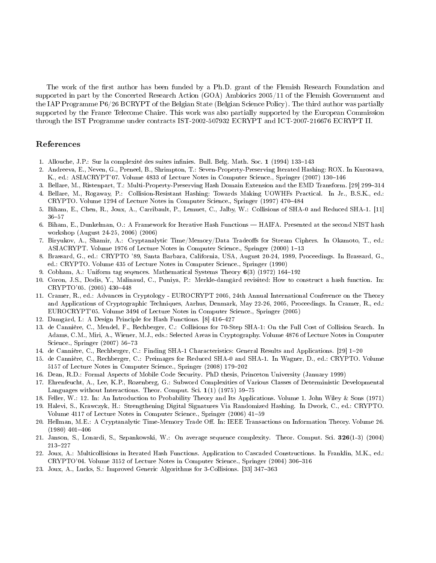The work of the first author has been funded by a Ph.D. grant of the Flemish Research Foundation and supported in part by the Concerted Research Action (GOA) Ambiorics 2005/11 of the Flemish Government and the IAP Programme P6/26 BCRYPT of the Belgian State (Belgian Science Policy). The third author was partially supported by the France Telecome Chaire. This work was also partially supported by the European Commission through the IST Programme under contracts IST-2002-507932 ECRYPT and ICT-2007-216676 ECRYPT II.

### References

- 1. Allouche, J.P.: Sur la complexité des suites infinies. Bull. Belg. Math. Soc. 1 (1994) 133-143
- 2. Andreeva, E., Neven, G., Preneel, B., Shrimpton, T.: Seven-Property-Preserving Iterated Hashing: ROX. In Kurosawa, K., ed.: ASIACRYPT'07. Volume 4833 of Lecture Notes in Computer Science., Springer (2007) 130–146
- 3. Bellare, M., Ristenpart, T.: Multi-Property-Preserving Hash Domain Extension and the EMD Transform. [29] 299-314
- 4. Bellare, M., Rogaway, P.: Collision-Resistant Hashing: Towards Making UOWHFs Practical. In Jr., B.S.K., ed.: CRYPTO. Volume 1294 of Lecture Notes in Computer Science., Springer (1997) 470–484
- 5. Biham, E., Chen, R., Joux, A., Carribault, P., Lemuet, C., Jalby, W.: Collisions of SHA-0 and Reduced SHA-1. [11]  $36 - 57$
- 6. Biham, E., Dunkelman, O.: A Framework for Iterative Hash Functions HAIFA. Presented at the second NIST hash workshop (August 24-25, 2006) (2006)
- 7. Biryukov, A., Shamir, A.: Cryptanalytic Time/Memory/Data Tradeoffs for Stream Ciphers. In Okamoto, T., ed.: ASIACRYPT. Volume 1976 of Lecture Notes in Computer Science., Springer (2000) 1-13
- 8. Brassard, G., ed.: CRYPTO '89, Santa Barbara, California, USA, August 20-24, 1989, Proceedings. In Brassard, G., ed.: CRYPTO. Volume 435 of Lecture Notes in Computer Science., Springer (1990)
- 9. Cobham, A.: Uniform tag sequences. Mathematical Systems Theory  $6(3)$  (1972) 164-192
- 10. Coron, J.S., Dodis, Y., Malinaud, C., Puniya, P.: Merkle-damgård revisited: How to construct a hash function. In: CRYPTO'05. (2005) 430-448
- 11. Cramer, R., ed.: Advances in Cryptology EUROCRYPT 2005, 24th Annual International Conference on the Theory and Applications of Cryptographic Techniques, Aarhus, Denmark, May 22-26, 2005, Proceedings. In Cramer, R., ed.: EUROCRYPT'05. Volume 3494 of Lecture Notes in Computer Science., Springer (2005)
- 12. Damgård, I.: A Design Principle for Hash Functions. [8] 416-427
- 13. de Cannière, C., Mendel, F., Rechberger, C.: Collisions for 70-Step SHA-1: On the Full Cost of Collision Search. In Adams, C.M., Miri, A., Wiener, M.J., eds.: Selected Areas in Cryptography. Volume 4876 of Lecture Notes in Computer Science., Springer (2007) 56-73
- 14. de Cannière, C., Rechberger, C.: Finding SHA-1 Characteristics: General Results and Applications. [29] 1-20
- 15. de Cannière, C., Rechberger, C.: Preimages for Reduced SHA-0 and SHA-1. In Wagner, D., ed.: CRYPTO. Volume 5157 of Lecture Notes in Computer Science., Springer (2008) 179-202
- 16. Dean, R.D.: Formal Aspects of Mobile Code Security. PhD thesis, Princeton University (January 1999)
- 17. Ehrenfeucht, A., Lee, K.P., Rozenberg, G.: Subword Complexities of Various Classes of Deterministic Developmental Languages without Interactions. Theor. Comput. Sci.  $1(1)$  (1975) 59-75
- 18. Feller, W.: 12. In: An Introduction to Probability Theory and Its Applications. Volume 1. John Wiley & Sons (1971)
- 19. Halevi, S., Krawczyk, H.: Strengthening Digital Signatures Via Randomized Hashing. In Dwork, C., ed.: CRYPTO. Volume 4117 of Lecture Notes in Computer Science., Springer (2006) 41-59
- 20. Hellman, M.E.: A Cryptanalytic Time-Memory Trade Off. In: IEEE Transactions on Information Theory. Volume 26.  $(1980)$  401-406
- 21. Janson, S., Lonardi, S., Szpankowski, W.: On average sequence complexity. Theor. Comput. Sci. 326(1-3) (2004) 213-227
- 22. Joux, A.: Multicollisions in Iterated Hash Functions. Application to Cascaded Constructions. In Franklin, M.K., ed.:  $CRYPTO'04.$  Volume 3152 of Lecture Notes in Computer Science., Springer (2004) 306-316
- 23. Joux, A., Lucks, S.: Improved Generic Algorithms for 3-Collisions. [33] 347-363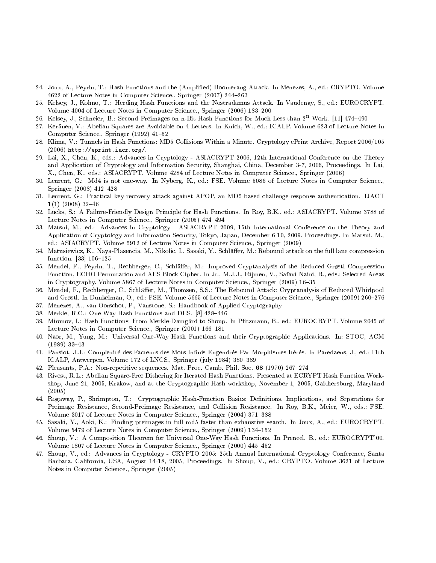- 24. Joux, A., Peyrin, T.: Hash Functions and the (Amplied) Boomerang Attack. In Menezes, A., ed.: CRYPTO. Volume 4622 of Lecture Notes in Computer Science., Springer (2007) 244–263
- 25. Kelsey, J., Kohno, T.: Herding Hash Functions and the Nostradamus Attack. In Vaudenay, S., ed.: EUROCRYPT. Volume 4004 of Lecture Notes in Computer Science., Springer (2006) 183-200
- 26. Kelsey, J., Schneier, B.: Second Preimages on n-Bit Hash Functions for Much Less than  $2^n$  Work. [11] 474-490
- 27. Keränen, V.: Abelian Squares are Avoidable on 4 Letters. In Kuich, W., ed.: ICALP. Volume 623 of Lecture Notes in Computer Science., Springer (1992) 41-52
- 28. Klima, V.: Tunnels in Hash Functions: MD5 Collisions Within a Minute. Cryptology ePrint Archive, Report 2006/105 (2006) http://eprint.iacr.org/.
- 29. Lai, X., Chen, K., eds.: Advances in Cryptology ASIACRYPT 2006, 12th International Conference on the Theory and Application of Cryptology and Information Security, Shanghai, China, December 3-7, 2006, Proceedings. In Lai, X., Chen, K., eds.: ASIACRYPT. Volume 4284 of Lecture Notes in Computer Science., Springer (2006)
- 30. Leurent, G.: Md4 is not one-way. In Nyberg, K., ed.: FSE. Volume 5086 of Lecture Notes in Computer Science., Springer (2008) 412–428
- 31. Leurent, G.: Practical key-recovery attack against APOP, an MD5-based challenge-response authentication. IJACT  $1(1)$  (2008) 32-46
- 32. Lucks, S.: A Failure-Friendly Design Principle for Hash Functions. In Roy, B.K., ed.: ASIACRYPT. Volume 3788 of Lecture Notes in Computer Science., Springer (2005) 474-494
- 33. Matsui, M., ed.: Advances in Cryptology ASIACRYPT 2009, 15th International Conference on the Theory and Application of Cryptology and Information Security, Tokyo, Japan, December 6-10, 2009. Proceedings. In Matsui, M., ed.: ASIACRYPT. Volume 5912 of Lecture Notes in Computer Science., Springer (2009)
- 34. Matusiewicz, K., Naya-Plasencia, M., Nikolic, I., Sasaki, Y., Schläer, M.: Rebound attack on the full lane compression function. [33] 106-125
- 35. Mendel, F., Peyrin, T., Rechberger, C., Schläer, M.: Improved Cryptanalysis of the Reduced Grøstl Compression Function, ECHO Permutation and AES Block Cipher. In Jr., M.J.J., Rijmen, V., Safavi-Naini, R., eds.: Selected Areas in Cryptography. Volume 5867 of Lecture Notes in Computer Science., Springer (2009) 16–35
- 36. Mendel, F., Rechberger, C., Schläffer, M., Thomsen, S.S.: The Rebound Attack: Cryptanalysis of Reduced Whirlpool and Grøstl. In Dunkelman, O., ed.: FSE. Volume 5665 of Lecture Notes in Computer Science., Springer (2009) 260–276
- 37. Menezes, A., van Oorschot, P., Vanstone, S.: Handbook of Applied Cryptography
- 38. Merkle, R.C.: One Way Hash Functions and DES. [8] 428-446
- 39. Mironov, I.: Hash Functions: From Merkle-Damgård to Shoup. In Ptzmann, B., ed.: EUROCRYPT. Volume 2045 of Lecture Notes in Computer Science., Springer (2001) 166-181
- 40. Naor, M., Yung, M.: Universal One-Way Hash Functions and their Cryptographic Applications. In: STOC, ACM  $(1989)$  33–43
- 41. Pansiot, J.J.: Complexité des Facteurs des Mots Infinis Engendrés Par Morphismes Itérés. In Paredaens, J., ed.: 11th ICALP, Antwerpen. Volume 172 of LNCS., Springer (july 1984) 380-389
- 42. Pleasants, P.A.: Non-repetitive sequences. Mat. Proc. Camb. Phil. Soc. 68 (1970) 267-274
- 43. Rivest, R.L.: Abelian Square-Free Dithering for Iterated Hash Functions. Presented at ECRYPT Hash Function Workshop, June 21, 2005, Krakow, and at the Cryptographic Hash workshop, November 1, 2005, Gaithersburg, Maryland (2005)
- 44. Rogaway, P., Shrimpton, T.: Cryptographic Hash-Function Basics: Definitions, Implications, and Separations for Preimage Resistance, Second-Preimage Resistance, and Collision Resistance. In Roy, B.K., Meier, W., eds.: FSE. Volume 3017 of Lecture Notes in Computer Science., Springer (2004) 371-388
- 45. Sasaki, Y., Aoki, K.: Finding preimages in full md5 faster than exhaustive search. In Joux, A., ed.: EUROCRYPT. Volume 5479 of Lecture Notes in Computer Science., Springer (2009) 134-152
- 46. Shoup, V.: A Composition Theorem for Universal One-Way Hash Functions. In Preneel, B., ed.: EUROCRYPT'00. Volume 1807 of Lecture Notes in Computer Science., Springer (2000) 445-452
- 47. Shoup, V., ed.: Advances in Cryptology CRYPTO 2005: 25th Annual International Cryptology Conference, Santa Barbara, California, USA, August 14-18, 2005, Proceedings. In Shoup, V., ed.: CRYPTO. Volume 3621 of Lecture Notes in Computer Science., Springer (2005)